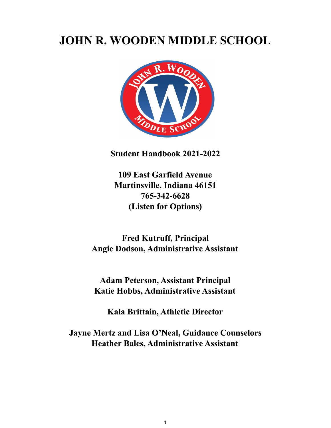# **JOHN R. WOODEN MIDDLE SCHOOL**



**Student Handbook 2021-2022**

**109 East Garfield Avenue Martinsville, Indiana 46151 765-342-6628 (Listen for Options)**

**Fred Kutruff, Principal Angie Dodson, Administrative Assistant**

**Adam Peterson, Assistant Principal Katie Hobbs, Administrative Assistant**

**Kala Brittain, Athletic Director**

**Jayne Mertz and Lisa O'Neal, Guidance Counselors Heather Bales, Administrative Assistant**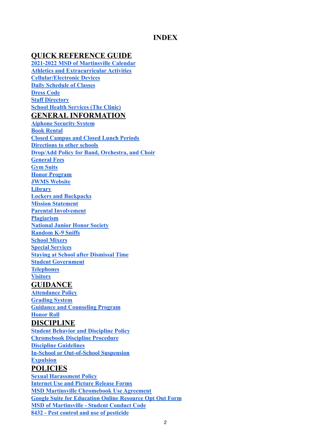#### **INDEX**

#### **QUICK REFERENCE GUIDE**

**2021-2022 MSD of [Martinsville](#page-4-0) Calendar Athletics and [Extracurricular](#page-5-0) Activities [Cellular/Electronic](#page-33-0) Devices Daily Schedule of Classes [Dress](#page-32-0) Code Staff [Directory](#page-2-0) School Health [Services](#page-14-0) (The Clinic) GENERAL INFORMATION [Aiphone](#page-10-0) Security System Book [Rental](#page-12-0) Closed [Campus](#page-13-0) and Closed Lunch Periods [Directions](#page-36-0) to other schools Drop/Add Policy for Band, [Orchestra,](#page-13-1) and Choir [General](#page-11-0) Fees Gym [Suits](#page-11-1) Honor [Program](#page-11-2) JWMS [Website](#page-7-0) [Library](#page-12-1) Lockers and [Backpacks](#page-18-0) Mission [Statement](#page-5-1) Parental [Involvement](#page-7-1) [Plagiarism](#page-10-1) [National](#page-12-2) Junior Honor Society [Random](#page-19-0) K-9 Sniffs School [Mixers](#page-19-1) Special [Services](#page-17-0) Staying at School after [Dismissal](#page-32-1) Time Student [Government](#page-13-2) [Telephones](#page-13-3) [Visitors](#page-13-4) GUIDANCE [Attendance](#page-7-2) Policy [Grading](#page-10-2) System Guidance and [Counseling](#page-14-1) Program [Honor](#page-11-3) Roll DISCIPLINE Student Behavior and [Discipline](#page-18-1) Policy [Chromebook](#page-30-0) Discipline Procedure Discipline [Guidelines](#page-34-0) In-School or [Out-of-School](#page-34-1) Suspension [Expulsion](#page-34-2) POLICIES Sexual [Harassment](#page-15-0) Policy [Internet](#page-19-2) Use and Picture Release Forms MSD Martinsville [Chromebook](#page-19-3) Use Agreement Google Suite for [Education](#page-30-1) Online Resource Opt Out Form MSD of [Martinsville](#page-39-0) - Student Conduct Code**

**8432 - Pest control and use of [pesticide](#page-45-0)**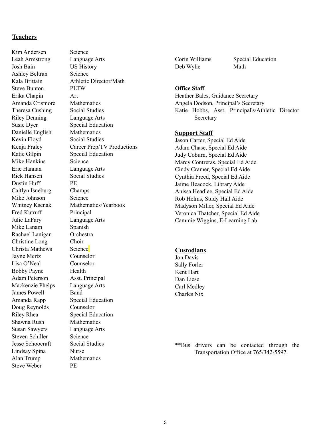#### <span id="page-2-0"></span>**Teachers**

Kim Andersen Science Leah Armstrong Language Arts Josh Bain US History Ashley Beltran Science Steve Bunton PLTW Erika Chapin Art Amanda Crismore Mathematics Theresa Cushing Social Studies Riley Denning Language Arts Susie Dyer Special Education Danielle English Mathematics Kevin Floyd Social Studies Katie Gilpin Special Education Mike Hankins Science Eric Hannan Language Arts Rick Hansen Social Studies Dustin Huff PE Caitlyn Isneburg Champs Mike Johnson Science Fred Kutruff Principal Julie LaFary Language Arts Mike Lanam Spanish Rachael Lanigan Orchestra Christine Long Choir Christa Mathews Science Jayne Mertz Counselor Lisa O'Neal Counselor Bobby Payne Health Adam Peterson Asst. Principal Mackenzie Phelps Language Arts James Powell Band Amanda Rapp Special Education Doug Reynolds Counselor Riley Rhea Special Education Shawna Rush Mathematics Susan Sawyers Language Arts Steven Schiller Science Jesse Schoocraft Social Studies Lindsay Spina Nurse Alan Trump Mathematics Steve Weber PE

Kala Brittain Athletic Director/Math Kenja Fraley Career Prep/TV Productions Whitney Ksenak Mathematics/Yearbook

Deb Wylie Math

Corin Williams Special Education

#### **Office Staff**

Heather Bales, Guidance Secretary Angela Dodson, Principal's Secretary Katie Hobbs, Asst. Principal's/Athletic Director **Secretary** 

#### **Support Staff**

Jason Carter, Special Ed Aide Adam Chase, Special Ed Aide Judy Coburn, Special Ed Aide Marcy Contreras, Special Ed Aide Cindy Cramer, Special Ed Aide Cynthia Freed, Special Ed Aide Jaime Heacock, Library Aide Anissa Headlee, Special Ed Aide Rob Helms, Study Hall Aide Madyson Miller, Special Ed Aide Veronica Thatcher, Special Ed Aide Cammie Wiggins, E-Learning Lab

#### **Custodians**

Jon Davis Sally Forler Kent Hart Dan Liese Carl Medley Charles Nix

\*\*Bus drivers can be contacted through the Transportation Office at 765/342-5597.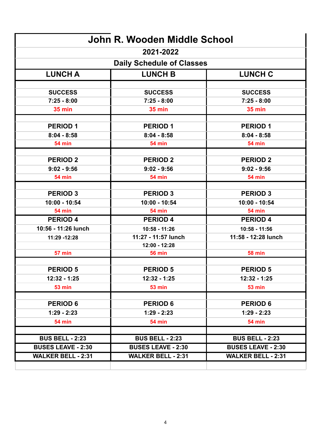| 2021-2022<br><b>Daily Schedule of Classes</b><br><b>LUNCH A</b><br><b>LUNCH B</b><br><b>LUNCH C</b><br><b>SUCCESS</b><br><b>SUCCESS</b><br><b>SUCCESS</b><br>$7:25 - 8:00$<br>$7:25 - 8:00$<br>$7:25 - 8:00$<br><b>35 min</b><br><b>35 min</b><br><b>35 min</b><br><b>PERIOD 1</b><br><b>PERIOD 1</b><br><b>PERIOD 1</b><br>$8:04 - 8:58$<br>$8:04 - 8:58$<br>$8:04 - 8:58$<br><b>54 min</b><br><b>54 min</b><br><b>54 min</b><br><b>PERIOD 2</b><br><b>PERIOD 2</b><br><b>PERIOD 2</b><br>$9:02 - 9:56$<br>$9:02 - 9:56$<br>$9:02 - 9:56$<br><b>54 min</b><br><b>54 min</b><br><b>54 min</b><br><b>PERIOD 3</b><br><b>PERIOD 3</b><br><b>PERIOD 3</b><br>10:00 - 10:54<br>10:00 - 10:54<br>10:00 - 10:54<br><b>54 min</b><br><b>54 min</b><br><b>54 min</b><br><b>PERIOD 4</b><br><b>PERIOD 4</b><br><b>PERIOD 4</b><br>10:56 - 11:26 lunch<br>10:58 - 11:26<br>$10:58 - 11:56$<br>11:27 - 11:57 lunch<br>11:58 - 12:28 lunch<br>11:29 - 12:28<br>12:00 - 12:28<br><b>57 min</b><br><b>58 min</b><br><b>56 min</b><br><b>PERIOD 5</b><br><b>PERIOD 5</b><br><b>PERIOD 5</b><br>12:32 - 1:25<br>12:32 - 1:25<br>12:32 - 1:25<br><b>53 min</b><br><b>53 min</b><br><b>53 min</b><br><b>PERIOD 6</b><br><b>PERIOD 6</b><br><b>PERIOD 6</b><br>$1:29 - 2:23$<br>$1:29 - 2:23$<br>$1:29 - 2:23$<br><b>54 min</b><br><b>54 min</b><br><b>54 min</b><br><b>BUS BELL - 2:23</b><br><b>BUS BELL - 2:23</b><br><b>BUS BELL - 2:23</b><br><b>BUSES LEAVE - 2:30</b><br><b>BUSES LEAVE - 2:30</b><br><b>BUSES LEAVE - 2:30</b><br><b>WALKER BELL - 2:31</b><br><b>WALKER BELL - 2:31</b><br><b>WALKER BELL - 2:31</b> | John R. Wooden Middle School |  |  |  |  |  |  |
|------------------------------------------------------------------------------------------------------------------------------------------------------------------------------------------------------------------------------------------------------------------------------------------------------------------------------------------------------------------------------------------------------------------------------------------------------------------------------------------------------------------------------------------------------------------------------------------------------------------------------------------------------------------------------------------------------------------------------------------------------------------------------------------------------------------------------------------------------------------------------------------------------------------------------------------------------------------------------------------------------------------------------------------------------------------------------------------------------------------------------------------------------------------------------------------------------------------------------------------------------------------------------------------------------------------------------------------------------------------------------------------------------------------------------------------------------------------------------------------------------------------------------------------------------------------------------------------------------------|------------------------------|--|--|--|--|--|--|
|                                                                                                                                                                                                                                                                                                                                                                                                                                                                                                                                                                                                                                                                                                                                                                                                                                                                                                                                                                                                                                                                                                                                                                                                                                                                                                                                                                                                                                                                                                                                                                                                            |                              |  |  |  |  |  |  |
|                                                                                                                                                                                                                                                                                                                                                                                                                                                                                                                                                                                                                                                                                                                                                                                                                                                                                                                                                                                                                                                                                                                                                                                                                                                                                                                                                                                                                                                                                                                                                                                                            |                              |  |  |  |  |  |  |
|                                                                                                                                                                                                                                                                                                                                                                                                                                                                                                                                                                                                                                                                                                                                                                                                                                                                                                                                                                                                                                                                                                                                                                                                                                                                                                                                                                                                                                                                                                                                                                                                            |                              |  |  |  |  |  |  |
|                                                                                                                                                                                                                                                                                                                                                                                                                                                                                                                                                                                                                                                                                                                                                                                                                                                                                                                                                                                                                                                                                                                                                                                                                                                                                                                                                                                                                                                                                                                                                                                                            |                              |  |  |  |  |  |  |
|                                                                                                                                                                                                                                                                                                                                                                                                                                                                                                                                                                                                                                                                                                                                                                                                                                                                                                                                                                                                                                                                                                                                                                                                                                                                                                                                                                                                                                                                                                                                                                                                            |                              |  |  |  |  |  |  |
|                                                                                                                                                                                                                                                                                                                                                                                                                                                                                                                                                                                                                                                                                                                                                                                                                                                                                                                                                                                                                                                                                                                                                                                                                                                                                                                                                                                                                                                                                                                                                                                                            |                              |  |  |  |  |  |  |
|                                                                                                                                                                                                                                                                                                                                                                                                                                                                                                                                                                                                                                                                                                                                                                                                                                                                                                                                                                                                                                                                                                                                                                                                                                                                                                                                                                                                                                                                                                                                                                                                            |                              |  |  |  |  |  |  |
|                                                                                                                                                                                                                                                                                                                                                                                                                                                                                                                                                                                                                                                                                                                                                                                                                                                                                                                                                                                                                                                                                                                                                                                                                                                                                                                                                                                                                                                                                                                                                                                                            |                              |  |  |  |  |  |  |
|                                                                                                                                                                                                                                                                                                                                                                                                                                                                                                                                                                                                                                                                                                                                                                                                                                                                                                                                                                                                                                                                                                                                                                                                                                                                                                                                                                                                                                                                                                                                                                                                            |                              |  |  |  |  |  |  |
|                                                                                                                                                                                                                                                                                                                                                                                                                                                                                                                                                                                                                                                                                                                                                                                                                                                                                                                                                                                                                                                                                                                                                                                                                                                                                                                                                                                                                                                                                                                                                                                                            |                              |  |  |  |  |  |  |
|                                                                                                                                                                                                                                                                                                                                                                                                                                                                                                                                                                                                                                                                                                                                                                                                                                                                                                                                                                                                                                                                                                                                                                                                                                                                                                                                                                                                                                                                                                                                                                                                            |                              |  |  |  |  |  |  |
|                                                                                                                                                                                                                                                                                                                                                                                                                                                                                                                                                                                                                                                                                                                                                                                                                                                                                                                                                                                                                                                                                                                                                                                                                                                                                                                                                                                                                                                                                                                                                                                                            |                              |  |  |  |  |  |  |
|                                                                                                                                                                                                                                                                                                                                                                                                                                                                                                                                                                                                                                                                                                                                                                                                                                                                                                                                                                                                                                                                                                                                                                                                                                                                                                                                                                                                                                                                                                                                                                                                            |                              |  |  |  |  |  |  |
|                                                                                                                                                                                                                                                                                                                                                                                                                                                                                                                                                                                                                                                                                                                                                                                                                                                                                                                                                                                                                                                                                                                                                                                                                                                                                                                                                                                                                                                                                                                                                                                                            |                              |  |  |  |  |  |  |
|                                                                                                                                                                                                                                                                                                                                                                                                                                                                                                                                                                                                                                                                                                                                                                                                                                                                                                                                                                                                                                                                                                                                                                                                                                                                                                                                                                                                                                                                                                                                                                                                            |                              |  |  |  |  |  |  |
|                                                                                                                                                                                                                                                                                                                                                                                                                                                                                                                                                                                                                                                                                                                                                                                                                                                                                                                                                                                                                                                                                                                                                                                                                                                                                                                                                                                                                                                                                                                                                                                                            |                              |  |  |  |  |  |  |
|                                                                                                                                                                                                                                                                                                                                                                                                                                                                                                                                                                                                                                                                                                                                                                                                                                                                                                                                                                                                                                                                                                                                                                                                                                                                                                                                                                                                                                                                                                                                                                                                            |                              |  |  |  |  |  |  |
|                                                                                                                                                                                                                                                                                                                                                                                                                                                                                                                                                                                                                                                                                                                                                                                                                                                                                                                                                                                                                                                                                                                                                                                                                                                                                                                                                                                                                                                                                                                                                                                                            |                              |  |  |  |  |  |  |
|                                                                                                                                                                                                                                                                                                                                                                                                                                                                                                                                                                                                                                                                                                                                                                                                                                                                                                                                                                                                                                                                                                                                                                                                                                                                                                                                                                                                                                                                                                                                                                                                            |                              |  |  |  |  |  |  |
|                                                                                                                                                                                                                                                                                                                                                                                                                                                                                                                                                                                                                                                                                                                                                                                                                                                                                                                                                                                                                                                                                                                                                                                                                                                                                                                                                                                                                                                                                                                                                                                                            |                              |  |  |  |  |  |  |
|                                                                                                                                                                                                                                                                                                                                                                                                                                                                                                                                                                                                                                                                                                                                                                                                                                                                                                                                                                                                                                                                                                                                                                                                                                                                                                                                                                                                                                                                                                                                                                                                            |                              |  |  |  |  |  |  |
|                                                                                                                                                                                                                                                                                                                                                                                                                                                                                                                                                                                                                                                                                                                                                                                                                                                                                                                                                                                                                                                                                                                                                                                                                                                                                                                                                                                                                                                                                                                                                                                                            |                              |  |  |  |  |  |  |
|                                                                                                                                                                                                                                                                                                                                                                                                                                                                                                                                                                                                                                                                                                                                                                                                                                                                                                                                                                                                                                                                                                                                                                                                                                                                                                                                                                                                                                                                                                                                                                                                            |                              |  |  |  |  |  |  |
|                                                                                                                                                                                                                                                                                                                                                                                                                                                                                                                                                                                                                                                                                                                                                                                                                                                                                                                                                                                                                                                                                                                                                                                                                                                                                                                                                                                                                                                                                                                                                                                                            |                              |  |  |  |  |  |  |
|                                                                                                                                                                                                                                                                                                                                                                                                                                                                                                                                                                                                                                                                                                                                                                                                                                                                                                                                                                                                                                                                                                                                                                                                                                                                                                                                                                                                                                                                                                                                                                                                            |                              |  |  |  |  |  |  |
|                                                                                                                                                                                                                                                                                                                                                                                                                                                                                                                                                                                                                                                                                                                                                                                                                                                                                                                                                                                                                                                                                                                                                                                                                                                                                                                                                                                                                                                                                                                                                                                                            |                              |  |  |  |  |  |  |
|                                                                                                                                                                                                                                                                                                                                                                                                                                                                                                                                                                                                                                                                                                                                                                                                                                                                                                                                                                                                                                                                                                                                                                                                                                                                                                                                                                                                                                                                                                                                                                                                            |                              |  |  |  |  |  |  |
|                                                                                                                                                                                                                                                                                                                                                                                                                                                                                                                                                                                                                                                                                                                                                                                                                                                                                                                                                                                                                                                                                                                                                                                                                                                                                                                                                                                                                                                                                                                                                                                                            |                              |  |  |  |  |  |  |
|                                                                                                                                                                                                                                                                                                                                                                                                                                                                                                                                                                                                                                                                                                                                                                                                                                                                                                                                                                                                                                                                                                                                                                                                                                                                                                                                                                                                                                                                                                                                                                                                            |                              |  |  |  |  |  |  |
|                                                                                                                                                                                                                                                                                                                                                                                                                                                                                                                                                                                                                                                                                                                                                                                                                                                                                                                                                                                                                                                                                                                                                                                                                                                                                                                                                                                                                                                                                                                                                                                                            |                              |  |  |  |  |  |  |
|                                                                                                                                                                                                                                                                                                                                                                                                                                                                                                                                                                                                                                                                                                                                                                                                                                                                                                                                                                                                                                                                                                                                                                                                                                                                                                                                                                                                                                                                                                                                                                                                            |                              |  |  |  |  |  |  |
|                                                                                                                                                                                                                                                                                                                                                                                                                                                                                                                                                                                                                                                                                                                                                                                                                                                                                                                                                                                                                                                                                                                                                                                                                                                                                                                                                                                                                                                                                                                                                                                                            |                              |  |  |  |  |  |  |
|                                                                                                                                                                                                                                                                                                                                                                                                                                                                                                                                                                                                                                                                                                                                                                                                                                                                                                                                                                                                                                                                                                                                                                                                                                                                                                                                                                                                                                                                                                                                                                                                            |                              |  |  |  |  |  |  |
|                                                                                                                                                                                                                                                                                                                                                                                                                                                                                                                                                                                                                                                                                                                                                                                                                                                                                                                                                                                                                                                                                                                                                                                                                                                                                                                                                                                                                                                                                                                                                                                                            |                              |  |  |  |  |  |  |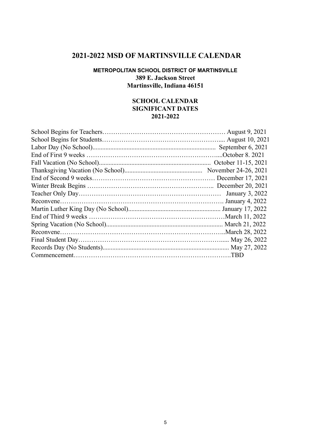# <span id="page-4-0"></span>**2021-2022 MSD OF MARTINSVILLE CALENDAR**

#### **METROPOLITAN SCHOOL DISTRICT OF MARTINSVILLE 389 E. Jackson Street Martinsville, Indiana 46151**

#### **SCHOOL CALENDAR SIGNIFICANT DATES 2021-2022**

| August 10, 2021      |
|----------------------|
| September 6, 2021    |
| October 8. 2021.     |
|                      |
| November 24-26, 2021 |
| December 17, 2021    |
| December 20, 2021    |
| January 3, 2022      |
| January 4, 2022      |
|                      |
|                      |
|                      |
|                      |
| May 26, 2022         |
|                      |
| $\Box$ TBD           |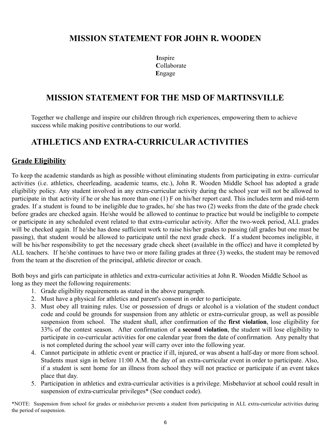# <span id="page-5-1"></span>**MISSION STATEMENT FOR JOHN R. WOODEN**

**I**nspire **C**ollaborate **E**ngage

# **MISSION STATEMENT FOR THE MSD OF MARTINSVILLE**

Together we challenge and inspire our children through rich experiences, empowering them to achieve success while making positive contributions to our world.

# <span id="page-5-0"></span>**ATHLETICS AND EXTRA-CURRICULAR ACTIVITIES**

# **Grade Eligibility**

To keep the academic standards as high as possible without eliminating students from participating in extra- curricular activities (i.e. athletics, cheerleading, academic teams, etc.), John R. Wooden Middle School has adopted a grade eligibility policy. Any student involved in any extra-curricular activity during the school year will not be allowed to participate in that activity if he or she has more than one (1) F on his/her report card. This includes term and mid-term grades. If a student is found to be ineligible due to grades, he/ she has two (2) weeks from the date of the grade check before grades are checked again. He/she would be allowed to continue to practice but would be ineligible to compete or participate in any scheduled event related to that extra-curricular activity. After the two-week period, ALL grades will be checked again. If he/she has done sufficient work to raise his/her grades to passing (all grades but one must be passing), that student would be allowed to participate until the next grade check. If a student becomes ineligible, it will be his/her responsibility to get the necessary grade check sheet (available in the office) and have it completed by ALL teachers. If he/she continues to have two or more failing grades at three (3) weeks, the student may be removed from the team at the discretion of the principal, athletic director or coach.

Both boys and girls can participate in athletics and extra-curricular activities at John R. Wooden Middle School as long as they meet the following requirements:

- 1. Grade eligibility requirements as stated in the above paragraph.
- 2. Must have a physical for athletics and parent's consent in order to participate.
- 3. Must obey all training rules. Use or possession of drugs or alcohol is a violation of the student conduct code and could be grounds for suspension from any athletic or extra-curricular group, as well as possible suspension from school. The student shall, after confirmation of the **first violation**, lose eligibility for 33% of the contest season. After confirmation of a **second violation**, the student will lose eligibility to participate in co-curricular activities for one calendar year from the date of confirmation. Any penalty that is not completed during the school year will carry over into the following year.
- 4. Cannot participate in athletic event or practice if ill, injured, or was absent a half-day or more from school. Students must sign in before 11:00 A.M. the day of an extra-curricular event in order to participate. Also, if a student is sent home for an illness from school they will not practice or participate if an event takes place that day.
- 5. Participation in athletics and extra-curricular activities is a privilege. Misbehavior at school could result in suspension of extra-curricular privileges\* (See conduct code).

\*NOTE: Suspension from school for grades or misbehavior prevents a student from participating in ALL extra-curricular activities during the period of suspension.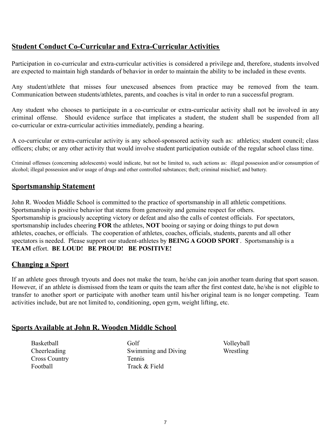# **Student Conduct Co-Curricular and Extra-Curricular Activities**

Participation in co-curricular and extra-curricular activities is considered a privilege and, therefore, students involved are expected to maintain high standards of behavior in order to maintain the ability to be included in these events.

Any student/athlete that misses four unexcused absences from practice may be removed from the team. Communication between students/athletes, parents, and coaches is vital in order to run a successful program.

Any student who chooses to participate in a co-curricular or extra-curricular activity shall not be involved in any criminal offense. Should evidence surface that implicates a student, the student shall be suspended from all co-curricular or extra-curricular activities immediately, pending a hearing.

A co-curricular or extra-curricular activity is any school-sponsored activity such as: athletics; student council; class officers; clubs; or any other activity that would involve student participation outside of the regular school class time.

Criminal offenses (concerning adolescents) would indicate, but not be limited to, such actions as: illegal possession and/or consumption of alcohol; illegal possession and/or usage of drugs and other controlled substances; theft; criminal mischief; and battery.

### **Sportsmanship Statement**

John R. Wooden Middle School is committed to the practice of sportsmanship in all athletic competitions. Sportsmanship is positive behavior that stems from generosity and genuine respect for others. Sportsmanship is graciously accepting victory or defeat and also the calls of contest officials. For spectators, sportsmanship includes cheering **FOR** the athletes, **NOT** booing or saying or doing things to put down athletes, coaches, or officials. The cooperation of athletes, coaches, officials, students, parents and all other spectators is needed. Please support our student-athletes by **BEING A GOOD SPORT**. Sportsmanship is a **TEAM** effort. **BE LOUD! BE PROUD! BE POSITIVE!**

# **Changing a Sport**

If an athlete goes through tryouts and does not make the team, he/she can join another team during that sport season. However, if an athlete is dismissed from the team or quits the team after the first contest date, he/she is not eligible to transfer to another sport or participate with another team until his/her original team is no longer competing. Team activities include, but are not limited to, conditioning, open gym, weight lifting, etc.

#### **Sports Available at John R. Wooden Middle School**

**Basketball** Cheerleading Cross Country Football

Golf Swimming and Diving Tennis Track & Field

Volleyball Wrestling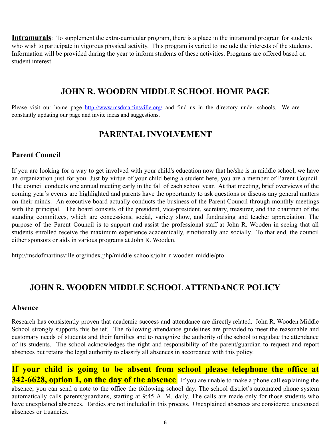**Intramurals**: To supplement the extra-curricular program, there is a place in the intramural program for students who wish to participate in vigorous physical activity. This program is varied to include the interests of the students. Information will be provided during the year to inform students of these activities. Programs are offered based on student interest.

# **JOHN R. WOODEN MIDDLE SCHOOL HOME PAGE**

<span id="page-7-0"></span>Please visit our home page <http://www.msdmartinsville.org/> and find us in the directory under schools. We are constantly updating our page and invite ideas and suggestions.

# **PARENTAL INVOLVEMENT**

# <span id="page-7-1"></span>**Parent Council**

If you are looking for a way to get involved with your child's education now that he/she is in middle school, we have an organization just for you. Just by virtue of your child being a student here, you are a member of Parent Council. The council conducts one annual meeting early in the fall of each school year. At that meeting, brief overviews of the coming year's events are highlighted and parents have the opportunity to ask questions or discuss any general matters on their minds. An executive board actually conducts the business of the Parent Council through monthly meetings with the principal. The board consists of the president, vice-president, secretary, treasurer, and the chairmen of the standing committees, which are concessions, social, variety show, and fundraising and teacher appreciation. The purpose of the Parent Council is to support and assist the professional staff at John R. Wooden in seeing that all students enrolled receive the maximum experience academically, emotionally and socially. To that end, the council either sponsors or aids in various programs at John R. Wooden.

http://msdofmartinsville.org/index.php/middle-schools/john-r-wooden-middle/pto

# <span id="page-7-2"></span>**JOHN R. WOODEN MIDDLE SCHOOLATTENDANCE POLICY**

# **Absence**

Research has consistently proven that academic success and attendance are directly related. John R. Wooden Middle School strongly supports this belief. The following attendance guidelines are provided to meet the reasonable and customary needs of students and their families and to recognize the authority of the school to regulate the attendance of its students. The school acknowledges the right and responsibility of the parent/guardian to request and report absences but retains the legal authority to classify all absences in accordance with this policy.

**If your child is going to be absent from school please telephone the office at 342-6628, option 1, on the day of the absence**. If you are unable to make a phone call explaining the absence, you can send a note to the office the following school day. The school district's automated phone system automatically calls parents/guardians, starting at 9:45 A. M. daily. The calls are made only for those students who have unexplained absences. Tardies are not included in this process. Unexplained absences are considered unexcused absences or truancies.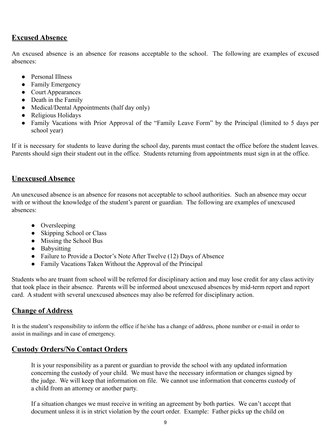### **Excused Absence**

An excused absence is an absence for reasons acceptable to the school. The following are examples of excused absences:

- Personal Illness
- Family Emergency
- Court Appearances
- Death in the Family
- Medical/Dental Appointments (half day only)
- Religious Holidays
- Family Vacations with Prior Approval of the "Family Leave Form" by the Principal (limited to 5 days per school year)

If it is necessary for students to leave during the school day, parents must contact the office before the student leaves. Parents should sign their student out in the office. Students returning from appointments must sign in at the office.

### **Unexcused Absence**

An unexcused absence is an absence for reasons not acceptable to school authorities. Such an absence may occur with or without the knowledge of the student's parent or guardian. The following are examples of unexcused absences:

- Oversleeping
- Skipping School or Class
- $\bullet$  Missing the School Bus
- Babysitting
- Failure to Provide a Doctor's Note After Twelve (12) Days of Absence
- Family Vacations Taken Without the Approval of the Principal

Students who are truant from school will be referred for disciplinary action and may lose credit for any class activity that took place in their absence. Parents will be informed about unexcused absences by mid-term report and report card. A student with several unexcused absences may also be referred for disciplinary action.

# **Change of Address**

It is the student's responsibility to inform the office if he/she has a change of address, phone number or e-mail in order to assist in mailings and in case of emergency.

# **Custody Orders/No Contact Orders**

It is your responsibility as a parent or guardian to provide the school with any updated information concerning the custody of your child. We must have the necessary information or changes signed by the judge. We will keep that information on file. We cannot use information that concerns custody of a child from an attorney or another party.

If a situation changes we must receive in writing an agreement by both parties. We can't accept that document unless it is in strict violation by the court order. Example: Father picks up the child on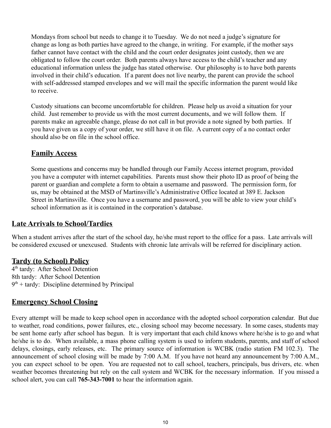Mondays from school but needs to change it to Tuesday. We do not need a judge's signature for change as long as both parties have agreed to the change, in writing. For example, if the mother says father cannot have contact with the child and the court order designates joint custody, then we are obligated to follow the court order. Both parents always have access to the child's teacher and any educational information unless the judge has stated otherwise. Our philosophy is to have both parents involved in their child's education. If a parent does not live nearby, the parent can provide the school with self-addressed stamped envelopes and we will mail the specific information the parent would like to receive.

Custody situations can become uncomfortable for children. Please help us avoid a situation for your child. Just remember to provide us with the most current documents, and we will follow them. If parents make an agreeable change, please do not call in but provide a note signed by both parties. If you have given us a copy of your order, we still have it on file. A current copy of a no contact order should also be on file in the school office.

### **Family Access**

Some questions and concerns may be handled through our Family Access internet program, provided you have a computer with internet capabilities. Parents must show their photo ID as proof of being the parent or guardian and complete a form to obtain a username and password. The permission form, for us, may be obtained at the MSD of Martinsville's Administrative Office located at 389 E. Jackson Street in Martinsville. Once you have a username and password, you will be able to view your child's school information as it is contained in the corporation's database.

#### **Late Arrivals to School/Tardies**

When a student arrives after the start of the school day, he/she must report to the office for a pass. Late arrivals will be considered excused or unexcused. Students with chronic late arrivals will be referred for disciplinary action.

# **Tardy (to School) Policy**

4<sup>th</sup> tardy: After School Detention 8th tardy: After School Detention  $9<sup>th</sup> +$  tardy: Discipline determined by Principal

# **Emergency School Closing**

Every attempt will be made to keep school open in accordance with the adopted school corporation calendar. But due to weather, road conditions, power failures, etc., closing school may become necessary. In some cases, students may be sent home early after school has begun. It is very important that each child knows where he/she is to go and what he/she is to do. When available, a mass phone calling system is used to inform students, parents, and staff of school delays, closings, early releases, etc. The primary source of information is WCBK (radio station FM 102.3). The announcement of school closing will be made by 7:00 A.M. If you have not heard any announcement by 7:00 A.M., you can expect school to be open. You are requested not to call school, teachers, principals, bus drivers, etc. when weather becomes threatening but rely on the call system and WCBK for the necessary information. If you missed a school alert, you can call **765-343-7001** to hear the information again.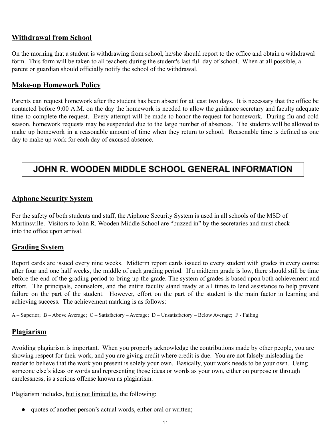# **Withdrawal from School**

On the morning that a student is withdrawing from school, he/she should report to the office and obtain a withdrawal form. This form will be taken to all teachers during the student's last full day of school. When at all possible, a parent or guardian should officially notify the school of the withdrawal.

# **Make-up Homework Policy**

Parents can request homework after the student has been absent for at least two days. It is necessary that the office be contacted before 9:00 A.M. on the day the homework is needed to allow the guidance secretary and faculty adequate time to complete the request. Every attempt will be made to honor the request for homework. During flu and cold season, homework requests may be suspended due to the large number of absences. The students will be allowed to make up homework in a reasonable amount of time when they return to school. Reasonable time is defined as one day to make up work for each day of excused absence.

# JOHN R. WOODEN MIDDLE SCHOOL GENERAL INFORMATION

# <span id="page-10-0"></span>**Aiphone Security System**

For the safety of both students and staff, the Aiphone Security System is used in all schools of the MSD of Martinsville. Visitors to John R. Wooden Middle School are "buzzed in" by the secretaries and must check into the office upon arrival.

# <span id="page-10-2"></span>**Grading System**

Report cards are issued every nine weeks. Midterm report cards issued to every student with grades in every course after four and one half weeks, the middle of each grading period. If a midterm grade is low, there should still be time before the end of the grading period to bring up the grade. The system of grades is based upon both achievement and effort. The principals, counselors, and the entire faculty stand ready at all times to lend assistance to help prevent failure on the part of the student. However, effort on the part of the student is the main factor in learning and achieving success. The achievement marking is as follows:

A – Superior; B – Above Average; C – Satisfactory – Average; D – Unsatisfactory – Below Average; F - Failing

#### <span id="page-10-1"></span>**Plagiarism**

Avoiding plagiarism is important. When you properly acknowledge the contributions made by other people, you are showing respect for their work, and you are giving credit where credit is due. You are not falsely misleading the reader to believe that the work you present is solely your own. Basically, your work needs to be your own. Using someone else's ideas or words and representing those ideas or words as your own, either on purpose or through carelessness, is a serious offense known as plagiarism.

Plagiarism includes, but is not limited to, the following:

● quotes of another person's actual words, either oral or written;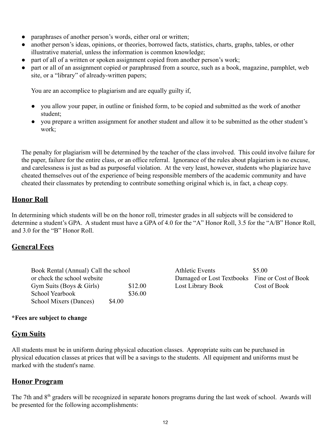- paraphrases of another person's words, either oral or written;
- another person's ideas, opinions, or theories, borrowed facts, statistics, charts, graphs, tables, or other illustrative material, unless the information is common knowledge;
- part of all of a written or spoken assignment copied from another person's work;
- part or all of an assignment copied or paraphrased from a source, such as a book, magazine, pamphlet, web site, or a "library" of already-written papers;

You are an accomplice to plagiarism and are equally guilty if,

- you allow your paper, in outline or finished form, to be copied and submitted as the work of another student;
- you prepare a written assignment for another student and allow it to be submitted as the other student's work;

The penalty for plagiarism will be determined by the teacher of the class involved. This could involve failure for the paper, failure for the entire class, or an office referral. Ignorance of the rules about plagiarism is no excuse, and carelessness is just as bad as purposeful violation. At the very least, however, students who plagiarize have cheated themselves out of the experience of being responsible members of the academic community and have cheated their classmates by pretending to contribute something original which is, in fact, a cheap copy.

# <span id="page-11-3"></span>**Honor Roll**

In determining which students will be on the honor roll, trimester grades in all subjects will be considered to determine a student's GPA. A student must have a GPA of 4.0 for the "A" Honor Roll, 3.5 for the "A/B" Honor Roll, and 3.0 for the "B" Honor Roll.

# <span id="page-11-0"></span>**General Fees**

| Book Rental (Annual) Call the school |        |         |  |  |  |  |
|--------------------------------------|--------|---------|--|--|--|--|
| or check the school website          |        |         |  |  |  |  |
| Gym Suits (Boys $\&$ Girls)          |        | \$12.00 |  |  |  |  |
| School Yearbook                      |        | \$36.00 |  |  |  |  |
| <b>School Mixers (Dances)</b>        | \$4.00 |         |  |  |  |  |

Athletic Events \$5.00 Damaged or Lost Textbooks Fine or Cost of Book Lost Library Book Cost of Book

#### **\*Fees are subject to change**

# <span id="page-11-1"></span>**Gym Suits**

All students must be in uniform during physical education classes. Appropriate suits can be purchased in physical education classes at prices that will be a savings to the students. All equipment and uniforms must be marked with the student's name.

# <span id="page-11-2"></span>**Honor Program**

The 7th and 8<sup>th</sup> graders will be recognized in separate honors programs during the last week of school. Awards will be presented for the following accomplishments: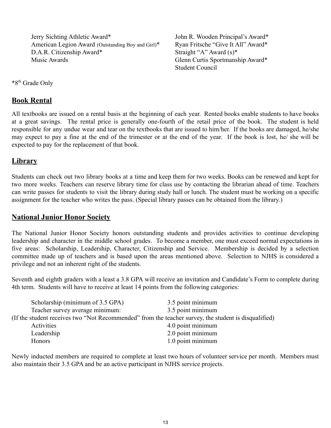Jerry Sichting Athletic Award\* American Legion Award (Outstanding Boy and Girl)\* D.A.R. Citizenship Award\* Music Awards

John R. Wooden Principal's Award\* Ryan Fritsche "Give It All" Award\* Straight "A" Award (s)\* Glenn Curtis Sportmanship Award\* Student Council

\*8th Grade Only

# <span id="page-12-0"></span>**Book Rental**

All textbooks are issued on a rental basis at the beginning of each year. Rented books enable students to have books at a great savings. The rental price is generally one-fourth of the retail price of the book. The student is held responsible for any undue wear and tear on the textbooks that are issued to him/her. If the books are damaged, he/she may expect to pay a fine at the end of the trimester or at the end of the year. If the book is lost, he/ she will be expected to pay for the replacement of that book.

### <span id="page-12-1"></span>**Library**

Students can check out two library books at a time and keep them for two weeks. Books can be renewed and kept for two more weeks. Teachers can reserve library time for class use by contacting the librarian ahead of time. Teachers can write passes for students to visit the library during study hall or lunch. The student must be working on a specific assignment for the teacher who writes the pass. (Special library passes can be obtained from the library.)

#### <span id="page-12-2"></span>**National Junior Honor Society**

The National Junior Honor Society honors outstanding students and provides activities to continue developing leadership and character in the middle school grades. To become a member, one must exceed normal expectations in five areas: Scholarship, Leadership, Character, Citizenship and Service. Membership is decided by a selection committee made up of teachers and is based upon the areas mentioned above. Selection to NJHS is considered a privilege and not an inherent right of the students.

Seventh and eighth graders with a least a 3.8 GPA will receive an invitation and Candidate's Form to complete during 4th term. Students will have to receive at least 14 points from the following categories:

| Scholarship (minimum of 3.5 GPA) | 3.5 point minimum                                                                                    |
|----------------------------------|------------------------------------------------------------------------------------------------------|
| Teacher survey average minimum:  | 3.5 point minimum                                                                                    |
|                                  | (If the student receives two "Not Recommended" from the teacher survey, the student is disqualified) |
| Activities                       | 4.0 point minimum                                                                                    |
| Leadership                       | 2.0 point minimum                                                                                    |
| <b>Honors</b>                    | 1.0 point minimum                                                                                    |

Newly inducted members are required to complete at least two hours of volunteer service per month. Members must also maintain their 3.5 GPA and be an active participant in NJHS service projects.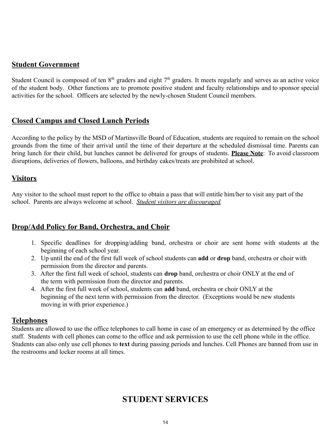### <span id="page-13-2"></span>**Student Government**

Student Council is composed of ten  $8<sup>th</sup>$  graders and eight  $7<sup>th</sup>$  graders. It meets regularly and serves as an active voice of the student body. Other functions are to promote positive student and faculty relationships and to sponsor special activities for the school. Officers are selected by the newly-chosen Student Council members.

### <span id="page-13-0"></span>**Closed Campus and Closed Lunch Periods**

According to the policy by the MSD of Martinsville Board of Education, students are required to remain on the school grounds from the time of their arrival until the time of their departure at the scheduled dismissal time. Parents can bring lunch for their child, but lunches cannot be delivered for groups of students. **Please Note**: To avoid classroom disruptions, deliveries of flowers, balloons, and birthday cakes/treats are prohibited at school.

# <span id="page-13-4"></span>**Visitors**

Any visitor to the school must report to the office to obtain a pass that will entitle him/her to visit any part of the school. Parents are always welcome at school. *Student visitors are discouraged.*

# **Drop/Add Policy for Band, Orchestra, and Choir**

- <span id="page-13-1"></span>1. Specific deadlines for dropping/adding band, orchestra or choir are sent home with students at the beginning of each school year.
- 2. Up until the end of the first full week of school students can **add** or **drop** band, orchestra or choir with permission from the director and parents.
- 3. After the first full week of school, students can **drop** band, orchestra or choir ONLY at the end of the term with permission from the director and parents.
- 4. After the first full week of school, students can **add** band, orchestra or choir ONLY at the beginning of the next term with permission from the director. (Exceptions would be new students moving in with prior experience.)

#### <span id="page-13-3"></span>**Telephones**

Students are allowed to use the office telephones to call home in case of an emergency or as determined by the office staff. Students with cell phones can come to the office and ask permission to use the cell phone while in the office. Students can also only use cell phones to **text** during passing periods and lunches. Cell Phones are banned from use in the restrooms and locker rooms at all times.

# **STUDENT SERVICES**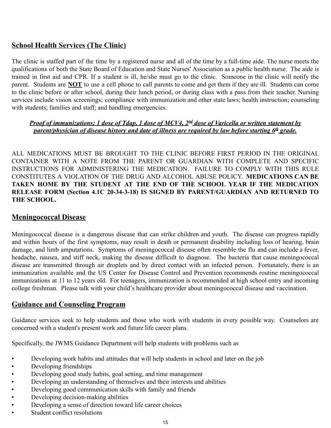# <span id="page-14-0"></span>**School Health Services (The Clinic)**

The clinic is staffed part of the time by a registered nurse and all of the time by a full-time aide. The nurse meets the qualifications of both the State Board of Education and State Nurses' Association as a public health nurse. The aide is trained in first aid and CPR. If a student is ill, he/she must go to the clinic. Someone in the clinic will notify the parent. Students are **NOT** to use a cell phone to call parents to come and get them if they are ill. Students can come to the clinic before or after school, during their lunch period, or during class with a pass from their teacher. Nursing services include vision screenings; compliance with immunization and other state laws; health instruction; counseling with students; families and staff; and handling emergencies.

#### *Proof of immunizations; 1 dose of Tdap, 1 dose of MCV4, 2nd dose of Varicella or written statement by parent/physician of disease history and date of illness are required by law before starting 6<sup>th</sup> grade.*

ALL MEDICATIONS MUST BE BROUGHT TO THE CLINIC BEFORE FIRST PERIOD IN THE ORIGINAL CONTAINER WITH A NOTE FROM THE PARENT OR GUARDIAN WITH COMPLETE AND SPECIFIC INSTRUCTIONS FOR ADMINISTERING THE MEDICATION. FAILURE TO COMPLY WITH THIS RULE CONSTITUTES A VIOLATION OF THE DRUG AND ALCOHOL ABUSE POLICY. **MEDICATIONS CAN BE TAKEN HOME BY THE STUDENT AT THE END OF THE SCHOOL YEAR IF THE MEDICATION RELEASE FORM (Section 4.1C 20-34-3-18) IS SIGNED BY PARENT/GUARDIAN AND RETURNED TO THE SCHOOL.**

#### **Meningococcal Disease**

Meningococcal disease is a dangerous disease that can strike children and youth. The disease can progress rapidly and within hours of the first symptoms, may result in death or permanent disability including loss of hearing, brain damage, and limb amputations. Symptoms of meningococcal disease often resemble the flu and can include a fever, headache, nausea, and stiff neck, making the disease difficult to diagnose. The bacteria that cause meningococcal disease are transmitted through air droplets and by direct contact with an infected person. Fortunately, there is an immunization available and the US Center for Disease Control and Prevention recommends routine meningococcal immunizations at 11 to 12 years old. For teenagers, immunization is recommended at high school entry and incoming college freshman. Please talk with your child's healthcare provider about meningococcal disease and vaccination.

# <span id="page-14-1"></span>**Guidance and Counseling Program**

Guidance services seek to help students and those who work with students in every possible way. Counselors are concerned with a student's present work and future life career plans.

Specifically, the JWMS Guidance Department will help students with problems such as

- Developing work habits and attitudes that will help students in school and later on the job
- Developing friendships
- Developing good study habits, goal setting, and time management
- Developing an understanding of themselves and their interests and abilities
- Developing good communication skills with family and friends
- Developing decision-making abilities
- Developing a sense of direction toward life career choices
- Student conflict resolutions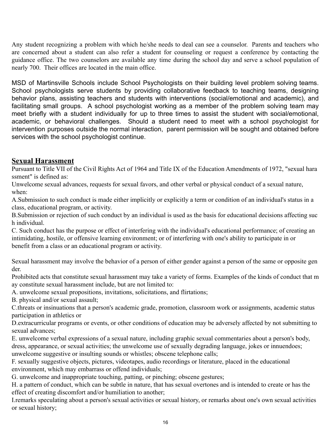Any student recognizing a problem with which he/she needs to deal can see a counselor. Parents and teachers who are concerned about a student can also refer a student for counseling or request a conference by contacting the guidance office. The two counselors are available any time during the school day and serve a school population of nearly 700. Their offices are located in the main office.

MSD of Martinsville Schools include School Psychologists on their building level problem solving teams. School psychologists serve students by providing collaborative feedback to teaching teams, designing behavior plans, assisting teachers and students with interventions (social/emotional and academic), and facilitating small groups. A school psychologist working as a member of the problem solving team may meet briefly with a student individually for up to three times to assist the student with social/emotional, academic, or behavioral challenges. Should a student need to meet with a school psychologist for intervention purposes outside the normal interaction, parent permission will be sought and obtained before services with the school psychologist continue.

#### <span id="page-15-0"></span>**Sexual Harassment**

Pursuant to Title VII of the Civil Rights Act of 1964 and Title IX of the Education Amendments of 1972, "sexual hara ssment" is defined as:

Unwelcome sexual advances, requests for sexual favors, and other verbal or physical conduct of a sexual nature, when:

A.Submission to such conduct is made either implicitly or explicitly a term or condition of an individual's status in a class, educational program, or activity.

B.Submission or rejection of such conduct by an individual is used as the basis for educational decisions affecting suc h individual.

C. Such conduct has the purpose or effect of interfering with the individual's educational performance; of creating an intimidating, hostile, or offensive learning environment; or of interfering with one's ability to participate in or benefit from a class or an educational program or activity.

Sexual harassment may involve the behavior of a person of either gender against a person of the same or opposite gen der.

Prohibited acts that constitute sexual harassment may take a variety of forms. Examples of the kinds of conduct that m ay constitute sexual harassment include, but are not limited to:

A. unwelcome sexual propositions, invitations, solicitations, and flirtations;

B. physical and/or sexual assault;

C.threats or insinuations that a person's academic grade, promotion, classroom work or assignments, academic status participation in athletics or

D.extracurricular programs or events, or other conditions of education may be adversely affected by not submitting to sexual advances;

E. unwelcome verbal expressions of a sexual nature, including graphic sexual commentaries about a person's body, dress, appearance, or sexual activities; the unwelcome use of sexually degrading language, jokes or innuendoes; unwelcome suggestive or insulting sounds or whistles; obscene telephone calls;

F. sexually suggestive objects, pictures, videotapes, audio recordings or literature, placed in the educational environment, which may embarrass or offend individuals;

G. unwelcome and inappropriate touching, patting, or pinching; obscene gestures;

H. a pattern of conduct, which can be subtle in nature, that has sexual overtones and is intended to create or has the effect of creating discomfort and/or humiliation to another;

I.remarks speculating about a person's sexual activities or sexual history, or remarks about one's own sexual activities or sexual history;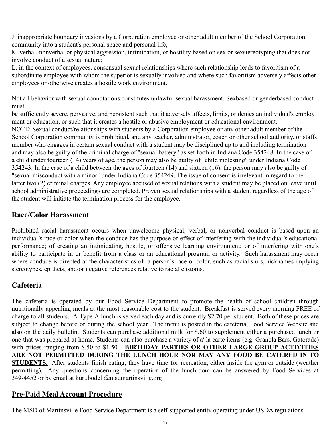J. inappropriate boundary invasions by a Corporation employee or other adult member of the School Corporation community into a student's personal space and personal life;

K. verbal, nonverbal or physical aggression, intimidation, or hostility based on sex or sexstereotyping that does not involve conduct of a sexual nature;

L. in the context of employees, consensual sexual relationships where such relationship leads to favoritism of a subordinate employee with whom the superior is sexually involved and where such favoritism adversely affects other employees or otherwise creates a hostile work environment.

Not all behavior with sexual connotations constitutes unlawful sexual harassment. Sexbased or genderbased conduct must

be sufficiently severe, pervasive, and persistent such that it adversely affects, limits, or denies an individual's employ ment or education, or such that it creates a hostile or abusive employment or educational environment. NOTE: Sexual conduct/relationships with students by a Corporation employee or any other adult member of the School Corporation community is prohibited, and any teacher, administrator, coach or other school authority, or staffs member who engages in certain sexual conduct with a student may be disciplined up to and including termination and may also be guilty of the criminal charge of "sexual battery" as set forth in Indiana Code 354248. In the case of a child under fourteen (14) years of age, the person may also be guilty of "child molesting" under Indiana Code 354243. In the case of a child between the ages of fourteen (14) and sixteen (16), the person may also be guilty of "sexual misconduct with a minor" under Indiana Code 354249. The issue of consent is irrelevant in regard to the latter two (2) criminal charges. Any employee accused of sexual relations with a student may be placed on leave until school administrative proceedings are completed. Proven sexual relationships with a student regardless of the age of the student will initiate the termination process for the employee.

# **Race/Color Harassment**

Prohibited racial harassment occurs when unwelcome physical, verbal, or nonverbal conduct is based upon an individual's race or color when the conduce has the purpose or effect of interfering with the individual's educational performance; of creating an intimidating, hostile, or offensive learning environment; or of interfering with one's ability to participate in or benefit from a class or an educational program or activity. Such harassment may occur where conduce is directed at the characteristics of a person's race or color, such as racial slurs, nicknames implying stereotypes, epithets, and/or negative references relative to racial customs.

# **Cafeteria**

The cafeteria is operated by our Food Service Department to promote the health of school children through nutritionally appealing meals at the most reasonable cost to the student. Breakfast is served every morning FREE of charge to all students. A Type A lunch is served each day and is currently \$2.70 per student. Both of these prices are subject to change before or during the school year. The menu is posted in the cafeteria, Food Service Website and also on the daily bulletin. Students can purchase additional milk for \$.60 to supplement either a purchased lunch or one that was prepared at home. Students can also purchase a variety of a′ la carte items (e.g. Granola Bars, Gatorade) with prices ranging from \$.50 to \$1.50. **BIRTHDAY PARTIES OR OTHER LARGE GROUP ACTIVITIES ARE NOT PERMITTED DURING THE LUNCH HOUR NOR MAY ANY FOOD BE CATERED IN TO STUDENTS.** After students finish eating, they have time for recreation, either inside the gym or outside (weather permitting). Any questions concerning the operation of the lunchroom can be answered by Food Services at 349-4452 or by email at kurt.bodell@msdmartinsville.org

# **Pre-Paid Meal Account Procedure**

The MSD of Martinsville Food Service Department is a self-supported entity operating under USDA regulations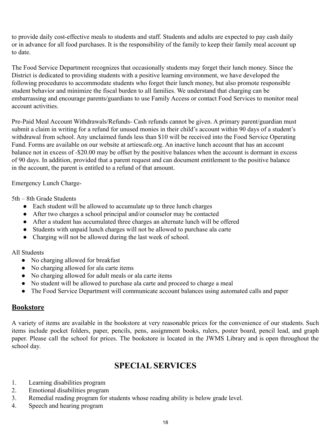to provide daily cost-effective meals to students and staff. Students and adults are expected to pay cash daily or in advance for all food purchases. It is the responsibility of the family to keep their family meal account up to date.

The Food Service Department recognizes that occasionally students may forget their lunch money. Since the District is dedicated to providing students with a positive learning environment, we have developed the following procedures to accommodate students who forget their lunch money, but also promote responsible student behavior and minimize the fiscal burden to all families. We understand that charging can be embarrassing and encourage parents/guardians to use Family Access or contact Food Services to monitor meal account activities.

Pre-Paid Meal Account Withdrawals/Refunds- Cash refunds cannot be given. A primary parent/guardian must submit a claim in writing for a refund for unused monies in their child's account within 90 days of a student's withdrawal from school. Any unclaimed funds less than \$10 will be received into the Food Service Operating Fund. Forms are available on our website at artiescafe.org. An inactive lunch account that has an account balance not in excess of -\$20.00 may be offset by the positive balances when the account is dormant in excess of 90 days. In addition, provided that a parent request and can document entitlement to the positive balance in the account, the parent is entitled to a refund of that amount.

Emergency Lunch Charge-

5th – 8th Grade Students

- Each student will be allowed to accumulate up to three lunch charges
- After two charges a school principal and/or counselor may be contacted
- After a student has accumulated three charges an alternate lunch will be offered
- Students with unpaid lunch charges will not be allowed to purchase ala carte
- Charging will not be allowed during the last week of school.

All Students

- No charging allowed for breakfast
- No charging allowed for ala carte items
- No charging allowed for adult meals or ala carte items
- No student will be allowed to purchase ala carte and proceed to charge a meal
- The Food Service Department will communicate account balances using automated calls and paper

# **Bookstore**

A variety of items are available in the bookstore at very reasonable prices for the convenience of our students. Such items include pocket folders, paper, pencils, pens, assignment books, rulers, poster board, pencil lead, and graph paper. Please call the school for prices. The bookstore is located in the JWMS Library and is open throughout the school day.

# **SPECIAL SERVICES**

- <span id="page-17-0"></span>1. Learning disabilities program
- 2. Emotional disabilities program
- 3. Remedial reading program for students whose reading ability is below grade level.
- 4. Speech and hearing program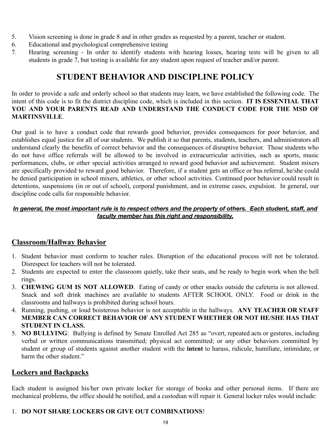- 5. Vision screening is done in grade 8 and in other grades as requested by a parent, teacher or student.
- 6. Educational and psychological comprehensive testing
- 7. Hearing screening In order to identify students with hearing losses, hearing tests will be given to all students in grade 7, but testing is available for any student upon request of teacher and/or parent.

# <span id="page-18-1"></span>**STUDENT BEHAVIOR AND DISCIPLINE POLICY**

In order to provide a safe and orderly school so that students may learn, we have established the following code. The intent of this code is to fit the district discipline code, which is included in this section. **IT IS ESSENTIAL THAT YOU AND YOUR PARENTS READ AND UNDERSTAND THE CONDUCT CODE FOR THE MSD OF MARTINSVILLE**.

Our goal is to have a conduct code that rewards good behavior, provides consequences for poor behavior, and establishes equal justice for all of our students. We publish it so that parents, students, teachers, and administrators all understand clearly the benefits of correct behavior and the consequences of disruptive behavior. Those students who do not have office referrals will be allowed to be involved in extracurricular activities, such as sports, music performances, clubs, or other special activities arranged to reward good behavior and achievement. Student mixers are specifically provided to reward good behavior. Therefore, if a student gets an office or bus referral, he/she could be denied participation in school mixers, athletics, or other school activities. Continued poor behavior could result in detentions, suspensions (in or out of school), corporal punishment, and in extreme cases, expulsion. In general, our discipline code calls for responsible behavior.

#### In general, the most important rule is to respect others and the property of others. Each student, staff, and *faculty member has this right and responsibility.*

# **Classroom/Hallway Behavior**

- 1. Student behavior must conform to teacher rules. Disruption of the educational process will not be tolerated. Disrespect for teachers will not be tolerated.
- 2. Students are expected to enter the classroom quietly, take their seats, and be ready to begin work when the bell rings.
- 3. **CHEWING GUM IS NOT ALLOWED**. Eating of candy or other snacks outside the cafeteria is not allowed. Snack and soft drink machines are available to students AFTER SCHOOL ONLY. Food or drink in the classrooms and hallways is prohibited during school hours.
- 4. Running, pushing, or loud boisterous behavior is not acceptable in the hallways. **ANY TEACHER OR STAFF MEMBER CAN CORRECT BEHAVIOR OF ANY STUDENT WHETHER OR NOT HE/SHE HAS THAT STUDENT IN CLASS.**
- 5. **NO BULLYING**: Bullying is defined by Senate Enrolled Act 285 as "overt, repeated acts or gestures, including verbal or written communications transmitted; physical act committed; or any other behaviors committed by student or group of students against another student with the **intent** to harass, ridicule, humiliate, intimidate, or harm the other student."

# <span id="page-18-0"></span>**Lockers and Backpacks**

Each student is assigned his/her own private locker for storage of books and other personal items. If there are mechanical problems, the office should be notified, and a custodian will repair it. General locker rules would include:

# 1. **DO NOT SHARE LOCKERS OR GIVE OUT COMBINATIONS**!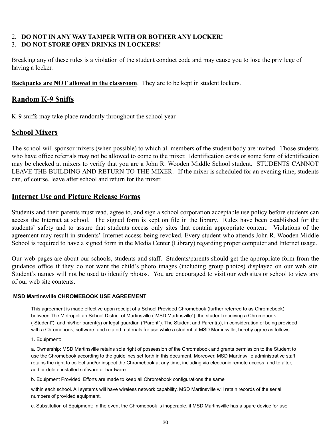#### 2. **DO NOT IN ANY WAY TAMPER WITH OR BOTHER ANY LOCKER!** 3. **DO NOT STORE OPEN DRINKS IN LOCKERS!**

Breaking any of these rules is a violation of the student conduct code and may cause you to lose the privilege of having a locker.

**Backpacks are NOT allowed in the classroom**. They are to be kept in student lockers.

# <span id="page-19-0"></span>**Random K-9 Sniffs**

K-9 sniffs may take place randomly throughout the school year.

# <span id="page-19-1"></span>**School Mixers**

The school will sponsor mixers (when possible) to which all members of the student body are invited. Those students who have office referrals may not be allowed to come to the mixer. Identification cards or some form of identification may be checked at mixers to verify that you are a John R. Wooden Middle School student. STUDENTS CANNOT LEAVE THE BUILDING AND RETURN TO THE MIXER. If the mixer is scheduled for an evening time, students can, of course, leave after school and return for the mixer.

# <span id="page-19-2"></span>**Internet Use and Picture Release Forms**

Students and their parents must read, agree to, and sign a school corporation acceptable use policy before students can access the Internet at school. The signed form is kept on file in the library. Rules have been established for the students' safety and to assure that students access only sites that contain appropriate content. Violations of the agreement may result in students' Internet access being revoked. Every student who attends John R. Wooden Middle School is required to have a signed form in the Media Center (Library) regarding proper computer and Internet usage.

Our web pages are about our schools, students and staff. Students/parents should get the appropriate form from the guidance office if they do not want the child's photo images (including group photos) displayed on our web site. Student's names will not be used to identify photos. You are encouraged to visit our web sites or school to view any of our web site contents.

#### **MSD Martinsville CHROMEBOOK USE AGREEMENT**

<span id="page-19-3"></span>This agreement is made effective upon receipt of a School Provided Chromebook (further referred to as Chromebook), between The Metropolitan School District of Martinsville ("MSD Martinsville"), the student receiving a Chromebook ("Student"), and his/her parent(s) or legal guardian ("Parent"). The Student and Parent(s), in consideration of being provided with a Chromebook, software, and related materials for use while a student at MSD Martinsville, hereby agree as follows:

1. Equipment:

a. Ownership: MSD Martinsville retains sole right of possession of the Chromebook and grants permission to the Student to use the Chromebook according to the guidelines set forth in this document. Moreover, MSD Martinsville administrative staff retains the right to collect and/or inspect the Chromebook at any time, including via electronic remote access; and to alter, add or delete installed software or hardware.

b. Equipment Provided: Efforts are made to keep all Chromebook configurations the same

within each school. All systems will have wireless network capability. MSD Martinsville will retain records of the serial numbers of provided equipment.

c. Substitution of Equipment: In the event the Chromebook is inoperable, if MSD Martinsville has a spare device for use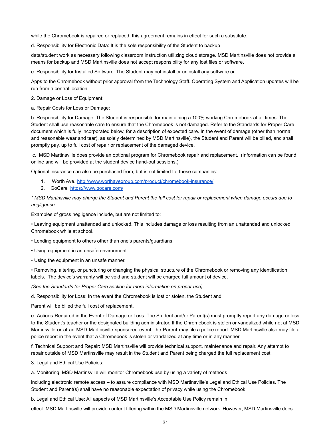while the Chromebook is repaired or replaced, this agreement remains in effect for such a substitute.

d. Responsibility for Electronic Data: It is the sole responsibility of the Student to backup

data/student work as necessary following classroom instruction utilizing cloud storage. MSD Martinsville does not provide a means for backup and MSD Martinsville does not accept responsibility for any lost files or software.

e. Responsibility for Installed Software: The Student may not install or uninstall any software or

Apps to the Chromebook without prior approval from the Technology Staff. Operating System and Application updates will be run from a central location.

2. Damage or Loss of Equipment:

a. Repair Costs for Loss or Damage:

b. Responsibility for Damage: The Student is responsible for maintaining a 100% working Chromebook at all times. The Student shall use reasonable care to ensure that the Chromebook is not damaged. Refer to the Standards for Proper Care document which is fully incorporated below, for a description of expected care. In the event of damage (other than normal and reasonable wear and tear), as solely determined by MSD Martinsville), the Student and Parent will be billed, and shall promptly pay, up to full cost of repair or replacement of the damaged device.

c. MSD Martinsville does provide an optional program for Chromebook repair and replacement. (Information can be found online and will be provided at the student device hand-out sessions.)

Optional insurance can also be purchased from, but is not limited to, these companies:

- 1. Worth Ave. <http://www.worthavegroup.com/product/chromebook-insurance/>
- 2. GoCare <https://www.gocare.com/>

*\* MSD Martinsville may charge the Student and Parent the full cost for repair or replacement when damage occurs due to negligence.*

Examples of gross negligence include, but are not limited to:

• Leaving equipment unattended and unlocked. This includes damage or loss resulting from an unattended and unlocked Chromebook while at school.

• Lending equipment to others other than one's parents/guardians.

- Using equipment in an unsafe environment.
- Using the equipment in an unsafe manner.

• Removing, altering, or puncturing or changing the physical structure of the Chromebook or removing any identification labels. The device's warranty will be void and student will be charged full amount of device.

*(See the Standards for Proper Care section for more information on proper use).*

d. Responsibility for Loss: In the event the Chromebook is lost or stolen, the Student and

Parent will be billed the full cost of replacement.

e. Actions Required in the Event of Damage or Loss: The Student and/or Parent(s) must promptly report any damage or loss to the Student's teacher or the designated building administrator. If the Chromebook is stolen or vandalized while not at MSD Martinsville or at an MSD Martinsville sponsored event, the Parent may file a police report. MSD Martinsville also may file a police report in the event that a Chromebook is stolen or vandalized at any time or in any manner.

f. Technical Support and Repair: MSD Martinsville will provide technical support, maintenance and repair. Any attempt to repair outside of MSD Martinsville may result in the Student and Parent being charged the full replacement cost.

3. Legal and Ethical Use Policies:

a. Monitoring: MSD Martinsville will monitor Chromebook use by using a variety of methods

including electronic remote access – to assure compliance with MSD Martinsville's Legal and Ethical Use Policies. The Student and Parent(s) shall have no reasonable expectation of privacy while using the Chromebook.

b. Legal and Ethical Use: All aspects of MSD Martinsville's Acceptable Use Policy remain in

effect. MSD Martinsville will provide content filtering within the MSD Martinsville network. However, MSD Martinsville does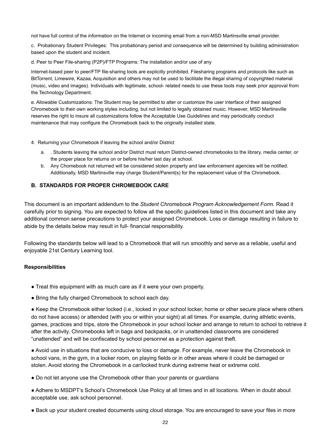not have full control of the information on the Internet or incoming email from a non-MSD Martinsville email provider.

c. Probationary Student Privileges: This probationary period and consequence will be determined by building administration based upon the student and incident.

d. Peer to Peer File-sharing (P2P)/FTP Programs: The installation and/or use of any

Internet-based peer to peer/FTP file-sharing tools are explicitly prohibited. Filesharing programs and protocols like such as BitTorrent, Limewire, Kazaa, Acquisition and others may not be used to facilitate the illegal sharing of copyrighted material (music, video and images). Individuals with legitimate, school- related needs to use these tools may seek prior approval from the Technology Department.

e. Allowable Customizations: The Student may be permitted to alter or customize the user interface of their assigned Chromebook to their own working styles including, but not limited to legally obtained music. However, MSD Martinsville reserves the right to insure all customizations follow the Acceptable Use Guidelines and may periodically conduct maintenance that may configure the Chromebook back to the originally installed state.

4. Returning your Chromebook if leaving the school and/or District

- a. . Students leaving the school and/or District must return District-owned chromebooks to the library, media center, or the proper place for returns on or before his/her last day at school.
- b. Any Chomebook not returned will be considered stolen property and law enforcement agencies will be notified. Additionally, MSD Martinsville may charge Student/Parent(s) for the replacement value of the Chromebook.

#### **B. STANDARDS FOR PROPER CHROMEBOOK CARE**

This document is an important addendum to the *Student Chromebook Program Acknowledgement Form.* Read it carefully prior to signing. You are expected to follow all the specific guidelines listed in this document and take any additional common sense precautions to protect your assigned Chromebook. Loss or damage resulting in failure to abide by the details below may result in full- financial responsibility.

Following the standards below will lead to a Chromebook that will run smoothly and serve as a reliable, useful and enjoyable 21st Century Learning tool.

#### **Responsibilities**

- Treat this equipment with as much care as if it were your own property.
- Bring the fully charged Chromebook to school each day.

● Keep the Chromebook either locked (i.e., locked in your school locker, home or other secure place where others do not have access) or attended (with you or within your sight) at all times. For example, during athletic events, games, practices and trips, store the Chromebook in your school locker and arrange to return to school to retrieve it after the activity. Chromebooks left in bags and backpacks, or in unattended classrooms are considered "unattended" and will be confiscated by school personnel as a protection against theft.

● Avoid use in situations that are conducive to loss or damage. For example, never leave the Chromebook in school vans, in the gym, in a locker room, on playing fields or in other areas where it could be damaged or stolen. Avoid storing the Chromebook in a car/locked trunk during extreme heat or extreme cold.

• Do not let anyone use the Chromebook other than your parents or guardians

● Adhere to MSDPT's School's Chromebook Use Policy at all times and in all locations. When in doubt about acceptable use, ask school personnel.

● Back up your student created documents using cloud storage. You are encouraged to save your files in more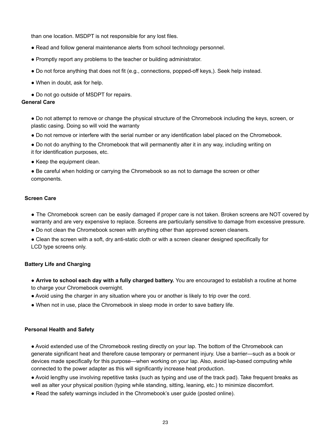than one location. MSDPT is not responsible for any lost files.

- Read and follow general maintenance alerts from school technology personnel.
- Promptly report any problems to the teacher or building administrator.
- Do not force anything that does not fit (e.g., connections, popped-off keys,). Seek help instead.
- When in doubt, ask for help.
- Do not go outside of MSDPT for repairs.

#### **General Care**

● Do not attempt to remove or change the physical structure of the Chromebook including the keys, screen, or plastic casing. Doing so will void the warranty

- Do not remove or interfere with the serial number or any identification label placed on the Chromebook.
- Do not do anything to the Chromebook that will permanently alter it in any way, including writing on it for identification purposes, etc.
- Keep the equipment clean.
- Be careful when holding or carrying the Chromebook so as not to damage the screen or other components.

#### **Screen Care**

- The Chromebook screen can be easily damaged if proper care is not taken. Broken screens are NOT covered by warranty and are very expensive to replace. Screens are particularly sensitive to damage from excessive pressure.
- Do not clean the Chromebook screen with anything other than approved screen cleaners.
- Clean the screen with a soft, dry anti-static cloth or with a screen cleaner designed specifically for LCD type screens only.

#### **Battery Life and Charging**

- **Arrive to school each day with a fully charged battery.** You are encouraged to establish a routine at home to charge your Chromebook overnight.
- Avoid using the charger in any situation where you or another is likely to trip over the cord.
- When not in use, place the Chromebook in sleep mode in order to save battery life.

#### **Personal Health and Safety**

● Avoid extended use of the Chromebook resting directly on your lap. The bottom of the Chromebook can generate significant heat and therefore cause temporary or permanent injury. Use a barrier—such as a book or devices made specifically for this purpose—when working on your lap. Also, avoid lap-based computing while connected to the power adapter as this will significantly increase heat production.

● Avoid lengthy use involving repetitive tasks (such as typing and use of the track pad). Take frequent breaks as well as alter your physical position (typing while standing, sitting, leaning, etc.) to minimize discomfort.

● Read the safety warnings included in the Chromebook's user guide (posted online).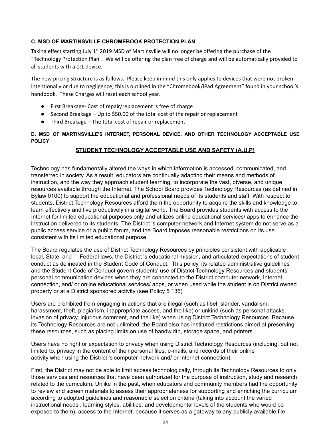#### **C. MSD OF MARTINSVILLE CHROMEBOOK PROTECTION PLAN**

Taking effect starting July  $1<sup>st</sup>$  2019 MSD of Martinsville will no longer be offering the purchase of the "Technology Protection Plan". We will be offering the plan free of charge and will be automatically provided to all students with a 1:1 device.

The new pricing structure is as follows. Please keep in mind this only applies to devices that were not broken intentionally or due to negligence; this is outlined in the "Chromebook/iPad Agreement" found in your school's handbook. These Charges will reset each school year.

- First Breakage- Cost of repair/replacement is free of charge
- $\bullet$  Second Breakage Up to \$50.00 of the total cost of the repair or replacement
- Third Breakage The total cost of repair or replacement

**D. MSD OF MARTINSVILLE'S INTERNET, PERSONAL DEVICE, AND OTHER TECHNOLOGY ACCEPTABLE USE POLICY**

#### **STUDENT TECHNOLOGY ACCEPTABLE USE AND SAFETY (A.U.P)**

Technology has fundamentally altered the ways in which information is accessed, communicated, and transferred in society. As a result, educators are continually adapting their means and methods of instruction, and the way they approach student learning, to incorporate the vast, diverse, and unique resources available through the Internet. The School Board provides Technology Resources (as defined in Bylaw 0100) to support the educational and professional needs of its students and staff. With respect to students, District Technology Resources afford them the opportunity to acquire the skills and knowledge to learn effectively and live productively in a digital world. The Board provides students with access to the Internet for limited educational purposes only and utilizes online educational services/ apps to enhance the instruction delivered to its students. The District 's computer network and Internet system do not serve as a public access service or a public forum, and the Board imposes reasonable restrictions on its use consistent with its limited educational purpose.

The Board regulates the use of District Technology Resources by principles consistent with applicable local, State, and Federal laws, the District 's educational mission, and articulated expectations of student conduct as delineated in the Student Code of Conduct. This policy, its related administrative guidelines and the Student Code of Conduct govern students' use of District Technology Resources and students' personal communication devices when they are connected to the District computer network, Internet connection, and/ or online educational services/ apps, or when used while the student is on District owned property or at a District sponsored activity (see Policy 5 136)

Users are prohibited from engaging in actions that are illegal (such as libel, slander, vandalism, harassment, theft, plagiarism, inappropriate access, and the like) or unkind (such as personal attacks, invasion of privacy, injurious comment, and the like) when using District Technology Resources. Because its Technology Resources are not unlimited, the Board also has instituted restrictions aimed at preserving these resources, such as placing limits on use of bandwidth, storage space, and printers.

Users have no right or expectation to privacy when using District Technology Resources (including, but not limited to, privacy in the content of their personal files, e-mails, and records of their online activity when using the District 's computer network and/ or Internet connection).

First, the District may not be able to limit access technologically, through its Technology Resources to only those services and resources that have been authorized for the purpose of instruction, study and research related to the curriculum. Unlike in the past, when educators and community members had the opportunity to review and screen materials to assess their appropriateness for supporting and enriching the curriculum according to adopted guidelines and reasonable selection criteria (taking into account the varied instructional needs , learning styles, abilities, and developmental levels of the students who would be exposed to them), access to the Internet, because it serves as a gateway to any publicly available file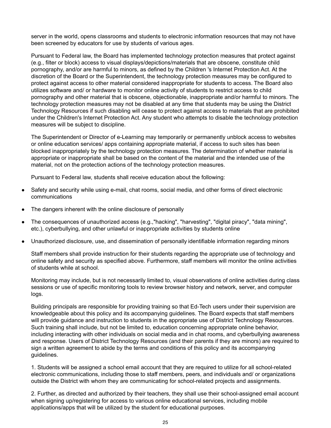server in the world, opens classrooms and students to electronic information resources that may not have been screened by educators for use by students of various ages.

Pursuant to Federal law, the Board has implemented technology protection measures that protect against (e.g., filter or block) access to visual displays/depictions/materials that are obscene, constitute child pornography, and/or are harmful to minors, as defined by the Children 's Internet Protection Act. At the discretion of the Board or the Superintendent, the technology protection measures may be configured to protect against access to other material considered inappropriate for students to access. The Board also utilizes software and/ or hardware to monitor online activity of students to restrict access to child pornography and other material that is obscene, objectionable, inappropriate and/or harmful to minors. The technology protection measures may not be disabled at any time that students may be using the District Technology Resources if such disabling will cease to protect against access to materials that are prohibited under the Children's Internet Protection Act. Any student who attempts to disable the technology protection measures will be subject to discipline.

The Superintendent or Director of e-Learning may temporarily or permanently unblock access to websites or online education services/ apps containing appropriate material, if access to such sites has been blocked inappropriately by the technology protection measures. The determination of whether material is appropriate or inappropriate shall be based on the content of the material and the intended use of the material, not on the protection actions of the technology protection measures.

Pursuant to Federal law, students shall receive education about the following:

- Safety and security while using e-mail, chat rooms, social media, and other forms of direct electronic communications
- The dangers inherent with the online disclosure of personally
- The consequences of unauthorized access (e.g.,"hacking", "harvesting", "digital piracy", "data mining", etc.), cyberbullying, and other unlawful or inappropriate activities by students online
- Unauthorized disclosure, use, and dissemination of personally identifiable information regarding minors

Staff members shall provide instruction for their students regarding the appropriate use of technology and online safety and security as specified above. Furthermore, staff members will monitor the online activities of students while at school.

Monitoring may include, but is not necessarily limited to, visual observations of online activities during class sessions or use of specific monitoring tools to review browser history and network, server, and computer logs.

Building principals are responsible for providing training so that Ed-Tech users under their supervision are knowledgeable about this policy and its accompanying guidelines. The Board expects that staff members will provide guidance and instruction to students in the appropriate use of District Technology Resources. Such training shall include, but not be limited to, education concerning appropriate online behavior, including interacting with other individuals on social media and in chat rooms, and cyberbullying awareness and response. Users of District Technology Resources (and their parents if they are minors) are required to sign a written agreement to abide by the terms and conditions of this policy and its accompanying guidelines.

1. Students will be assigned a school email account that they are required to utilize for all school-related electronic communications, including those to staff members, peers, and individuals and/ or organizations outside the District with whom they are communicating for school-related projects and assignments.

2. Further, as directed and authorized by their teachers, they shall use their school-assigned email account when signing up/registering for access to various online educational services, including mobile applications/apps that will be utilized by the student for educational purposes.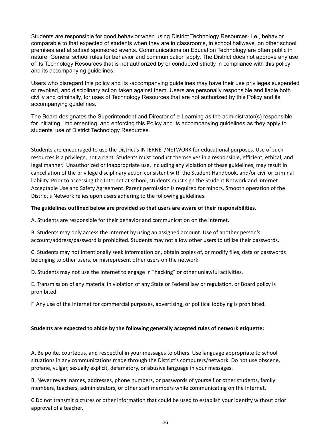Students are responsible for good behavior when using District Technology Resources- i.e., behavior comparable to that expected of students when they are in classrooms, in school hallways, on other school premises and at school sponsored events. Communications on Education Technology are often public in nature. General school rules for behavior and communication apply. The District does not approve any use of its Technology Resources that is not authorized by or conducted strictly in compliance with this policy and its accompanying guidelines.

Users who disregard this policy and its -accompanying guidelines may have their use privileges suspended or revoked, and disciplinary action taken against them. Users are personally responsible and liable both civilly and criminally, for uses of Technology Resources that are not authorized by this Policy and its accompanying guidelines.

The Board designates the Superintendent and Director of e-Learning as the administrator(s) responsible for initiating, implementing, and enforcing this Policy and its accompanying guidelines as they apply to students' use of District Technology Resources.

Students are encouraged to use the District's INTERNET/NETWORK for educational purposes. Use of such resources is a privilege, not a right. Students must conduct themselves in a responsible, efficient, ethical, and legal manner. Unauthorized or inappropriate use, including any violation of these guidelines, may result in cancellation of the privilege disciplinary action consistent with the Student Handbook, and/or civil or criminal liability. Prior to accessing the Internet at school, students must sign the Student Network and Internet Acceptable Use and Safety Agreement. Parent permission is required for minors. Smooth operation of the District's Network relies upon users adhering to the following guidelines.

#### **The guidelines outlined below are provided so that users are aware of their responsibilities.**

A. Students are responsible for their behavior and communication on the Internet.

B. Students may only access the Internet by using an assigned account. Use of another person's account/address/password is prohibited. Students may not allow other users to utilize their passwords.

C. Students may not intentionally seek information on, obtain copies of, or modify files, data or passwords belonging to other users, or misrepresent other users on the network.

D. Students may not use the Internet to engage in "hacking" or other unlawful activities.

E. Transmission of any material in violation of any State or Federal law or regulation, or Board policy is prohibited.

F. Any use of the Internet for commercial purposes, advertising, or political lobbying is prohibited.

#### **Students are expected to abide by the following generally accepted rules of network etiquette:**

A. Be polite, courteous, and respectful in your messages to others. Use language appropriate to school situations in any communications made through the District's computers/network. Do not use obscene, profane, vulgar, sexually explicit, defamatory, or abusive language in your messages.

B. Never reveal names, addresses, phone numbers, or passwords of yourself or other students, family members, teachers, administrators, or other staff members while communicating on the Internet.

C.Do not transmit pictures or other information that could be used to establish your identity without prior approval of a teacher.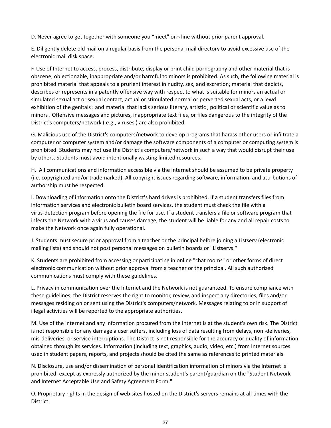D. Never agree to get together with someone you "meet" on¬ line without prior parent approval.

E. Diligently delete old mail on a regular basis from the personal mail directory to avoid excessive use of the electronic mail disk space.

F. Use of Internet to access, process, distribute, display or print child pornography and other material that is obscene, objectionable, inappropriate and/or harmful to minors is prohibited. As such, the following material is prohibited material that appeals to a prurient interest in nudity, sex, and excretion; material that depicts, describes or represents in a patently offensive way with respect to what is suitable for minors an actual or simulated sexual act or sexual contact, actual or stimulated normal or perverted sexual acts, or a lewd exhibition of the genitals ; and material that lacks serious literary, artistic , political or scientific value as to minors . Offensive messages and pictures, inappropriate text files, or files dangerous to the integrity of the District's computers/network ( e.g., viruses ) are also prohibited.

G. Malicious use of the District's computers/network to develop programs that harass other users or infiltrate a computer or computer system and/or damage the software components of a computer or computing system is prohibited. Students may not use the District's computers/network in such a way that would disrupt their use by others. Students must avoid intentionally wasting limited resources.

H. All communications and information accessible via the Internet should be assumed to be private property (i.e. copyrighted and/or trademarked). All copyright issues regarding software, information, and attributions of authorship must be respected.

I. Downloading of information onto the District's hard drives is prohibited. If a student transfers files from information services and electronic bulletin board services, the student must check the file with a virus-detection program before opening the file for use. If a student transfers a file or software program that infects the Network with a virus and causes damage, the student will be liable for any and all repair costs to make the Network once again fully operational.

J. Students must secure prior approval from a teacher or the principal before joining a Listserv (electronic mailing lists) and should not post personal messages on bulletin boards or "Listservs."

K. Students are prohibited from accessing or participating in online "chat rooms" or other forms of direct electronic communication without prior approval from a teacher or the principal. All such authorized communications must comply with these guidelines.

L. Privacy in communication over the Internet and the Network is not guaranteed. To ensure compliance with these guidelines, the District reserves the right to monitor, review, and inspect any directories, files and/or messages residing on or sent using the District's computers/network. Messages relating to or in support of illegal activities will be reported to the appropriate authorities.

M. Use of the Internet and any information procured from the Internet is at the student's own risk. The District is not responsible for any damage a user suffers, including loss of data resulting from delays, non¬deliveries, mis-deliveries, or service interruptions. The District is not responsible for the accuracy or quality of information obtained through its services. Information (including text, graphics, audio, video, etc.) from Internet sources used in student papers, reports, and projects should be cited the same as references to printed materials.

N. Disclosure, use and/or dissemination of personal identification information of minors via the Internet is prohibited, except as expressly authorized by the minor student's parent/guardian on the "Student Network and Internet Acceptable Use and Safety Agreement Form."

O. Proprietary rights in the design of web sites hosted on the District's servers remains at all times with the District.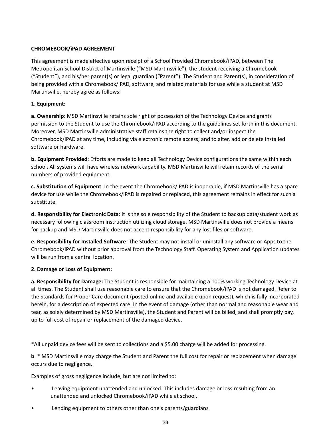#### **CHROMEBOOK/iPAD AGREEMENT**

This agreement is made effective upon receipt of a School Provided Chromebook/iPAD, between The Metropolitan School District of Martinsville ("MSD Martinsville"), the student receiving a Chromebook ("Student"), and his/her parent(s) or legal guardian ("Parent"). The Student and Parent(s), in consideration of being provided with a Chromebook/iPAD, software, and related materials for use while a student at MSD Martinsville, hereby agree as follows:

#### **1. Equipment:**

**a. Ownership**: MSD Martinsville retains sole right of possession of the Technology Device and grants permission to the Student to use the Chromebook/iPAD according to the guidelines set forth in this document. Moreover, MSD Martinsville administrative staff retains the right to collect and/or inspect the Chromebook/iPAD at any time, including via electronic remote access; and to alter, add or delete installed software or hardware.

**b. Equipment Provided**: Efforts are made to keep all Technology Device configurations the same within each school. All systems will have wireless network capability. MSD Martinsville will retain records of the serial numbers of provided equipment.

**c. Substitution of Equipment**: In the event the Chromebook/iPAD is inoperable, if MSD Martinsville has a spare device for use while the Chromebook/iPAD is repaired or replaced, this agreement remains in effect for such a substitute.

**d. Responsibility for Electronic Data**: It is the sole responsibility of the Student to backup data/student work as necessary following classroom instruction utilizing cloud storage. MSD Martinsville does not provide a means for backup and MSD Martinsville does not accept responsibility for any lost files or software.

**e. Responsibility for Installed Software**: The Student may not install or uninstall any software or Apps to the Chromebook/iPAD without prior approval from the Technology Staff. Operating System and Application updates will be run from a central location.

#### **2. Damage or Loss of Equipment:**

**a. Responsibility for Damage:** The Student is responsible for maintaining a 100% working Technology Device at all times. The Student shall use reasonable care to ensure that the Chromebook/iPAD is not damaged. Refer to the Standards for Proper Care document (posted online and available upon request), which is fully incorporated herein, for a description of expected care. In the event of damage (other than normal and reasonable wear and tear, as solely determined by MSD Martinsville), the Student and Parent will be billed, and shall promptly pay, up to full cost of repair or replacement of the damaged device.

\*All unpaid device fees will be sent to collections and a \$5.00 charge will be added for processing.

**b**. \* MSD Martinsville may charge the Student and Parent the full cost for repair or replacement when damage occurs due to negligence.

Examples of gross negligence include, but are not limited to:

- Leaving equipment unattended and unlocked. This includes damage or loss resulting from an unattended and unlocked Chromebook/iPAD while at school.
- Lending equipment to others other than one's parents/guardians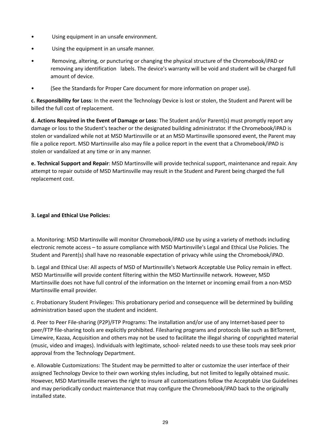- Using equipment in an unsafe environment.
- Using the equipment in an unsafe manner.
- Removing, altering, or puncturing or changing the physical structure of the Chromebook/iPAD or removing any identification labels. The device's warranty will be void and student will be charged full amount of device.
- (See the Standards for Proper Care document for more information on proper use).

**c. Responsibility for Loss**: In the event the Technology Device is lost or stolen, the Student and Parent will be billed the full cost of replacement.

**d. Actions Required in the Event of Damage or Loss**: The Student and/or Parent(s) must promptly report any damage or loss to the Student's teacher or the designated building administrator. If the Chromebook/iPAD is stolen or vandalized while not at MSD Martinsville or at an MSD Martinsville sponsored event, the Parent may file a police report. MSD Martinsville also may file a police report in the event that a Chromebook/iPAD is stolen or vandalized at any time or in any manner.

**e. Technical Support and Repair**: MSD Martinsville will provide technical support, maintenance and repair. Any attempt to repair outside of MSD Martinsville may result in the Student and Parent being charged the full replacement cost.

#### **3. Legal and Ethical Use Policies:**

a. Monitoring: MSD Martinsville will monitor Chromebook/iPAD use by using a variety of methods including electronic remote access – to assure compliance with MSD Martinsville's Legal and Ethical Use Policies. The Student and Parent(s) shall have no reasonable expectation of privacy while using the Chromebook/iPAD.

b. Legal and Ethical Use: All aspects of MSD of Martinsville's Network Acceptable Use Policy remain in effect. MSD Martinsville will provide content filtering within the MSD Martinsville network. However, MSD Martinsville does not have full control of the information on the Internet or incoming email from a non-MSD Martinsville email provider.

c. Probationary Student Privileges: This probationary period and consequence will be determined by building administration based upon the student and incident.

d. Peer to Peer File-sharing (P2P)/FTP Programs: The installation and/or use of any Internet-based peer to peer/FTP file-sharing tools are explicitly prohibited. Filesharing programs and protocols like such as BitTorrent, Limewire, Kazaa, Acquisition and others may not be used to facilitate the illegal sharing of copyrighted material (music, video and images). Individuals with legitimate, school- related needs to use these tools may seek prior approval from the Technology Department.

e. Allowable Customizations: The Student may be permitted to alter or customize the user interface of their assigned Technology Device to their own working styles including, but not limited to legally obtained music. However, MSD Martinsville reserves the right to insure all customizations follow the Acceptable Use Guidelines and may periodically conduct maintenance that may configure the Chromebook/iPAD back to the originally installed state.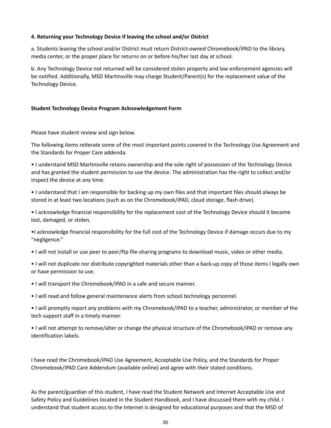#### **4. Returning your Technology Device if leaving the school and/or District**

a. Students leaving the school and/or District must return District-owned Chromebook/iPAD to the library, media center, or the proper place for returns on or before his/her last day at school.

b. Any Technology Device not returned will be considered stolen property and law enforcement agencies will be notified. Additionally, MSD Martinsville may charge Student/Parent(s) for the replacement value of the Technology Device.

#### **Student Technology Device Program Acknowledgement Form**

Please have student review and sign below.

The following items reiterate some of the most important points covered in the Technology Use Agreement and the Standards for Proper Care addenda.

• I understand MSD Martinsville retains ownership and the sole right of possession of the Technology Device and has granted the student permission to use the device. The administration has the right to collect and/or inspect the device at any time.

• I understand that I am responsible for backing up my own files and that important files should always be stored in at least two locations (such as on the Chromebook/iPAD, cloud storage, flash drive).

• I acknowledge financial responsibility for the replacement cost of the Technology Device should it become lost, damaged, or stolen.

•I acknowledge financial responsibility for the full cost of the Technology Device if damage occurs due to my "negligence."

• I will not install or use peer to peer/ftp file-sharing programs to download music, video or other media.

• I will not duplicate nor distribute copyrighted materials other than a back-up copy of those items I legally own or have permission to use.

• I will transport the Chromebook/iPAD in a safe and secure manner.

• I will read and follow general maintenance alerts from school technology personnel.

• I will promptly report any problems with my Chromebook/iPAD to a teacher, administrator, or member of the tech support staff in a timely manner.

• I will not attempt to remove/alter or change the physical structure of the Chromebook/iPAD or remove any identification labels.

I have read the Chromebook/iPAD Use Agreement, Acceptable Use Policy, and the Standards for Proper Chromebook/iPAD Care Addendum (available online) and agree with their stated conditions.

As the parent/guardian of this student, I have read the Student Network and Internet Acceptable Use and Safety Policy and Guidelines located in the Student Handbook, and I have discussed them with my child. I understand that student access to the Internet is designed for educational purposes and that the MSD of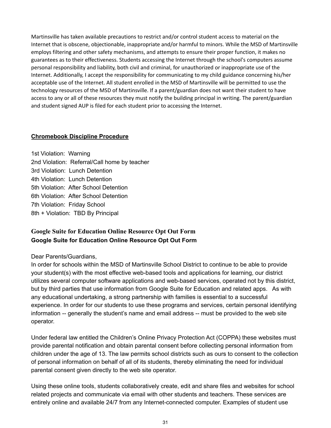Martinsville has taken available precautions to restrict and/or control student access to material on the Internet that is obscene, objectionable, inappropriate and/or harmful to minors. While the MSD of Martinsville employs filtering and other safety mechanisms, and attempts to ensure their proper function, it makes no guarantees as to their effectiveness. Students accessing the Internet through the school's computers assume personal responsibility and liability, both civil and criminal, for unauthorized or inappropriate use of the Internet. Additionally, I accept the responsibility for communicating to my child guidance concerning his/her acceptable use of the Internet. All student enrolled in the MSD of Martinsville will be permitted to use the technology resources of the MSD of Martinsville. If a parent/guardian does not want their student to have access to any or all of these resources they must notify the building principal in writing. The parent/guardian and student signed AUP is filed for each student prior to accessing the Internet.

#### <span id="page-30-0"></span>**Chromebook Discipline Procedure**

1st Violation: Warning 2nd Violation: Referral/Call home by teacher 3rd Violation: Lunch Detention 4th Violation: Lunch Detention 5th Violation: After School Detention 6th Violation: After School Detention 7th Violation: Friday School 8th + Violation: TBD By Principal

### <span id="page-30-1"></span>**Google Suite for Education Online Resource Opt Out Form Google Suite for Education Online Resource Opt Out Form**

#### Dear Parents/Guardians,

In order for schools within the MSD of Martinsville School District to continue to be able to provide your student(s) with the most effective web-based tools and applications for learning, our district utilizes several computer software applications and web-based services, operated not by this district, but by third parties that use information from Google Suite for Education and related apps. As with any educational undertaking, a strong partnership with families is essential to a successful experience. In order for our students to use these programs and services, certain personal identifying information -- generally the student's name and email address -- must be provided to the web site operator.

Under federal law entitled the Children's Online Privacy Protection Act (COPPA) these websites must provide parental notification and obtain parental consent before collecting personal information from children under the age of 13. The law permits school districts such as ours to consent to the collection of personal information on behalf of all of its students, thereby eliminating the need for individual parental consent given directly to the web site operator.

Using these online tools, students collaboratively create, edit and share files and websites for school related projects and communicate via email with other students and teachers. These services are entirely online and available 24/7 from any Internet-connected computer. Examples of student use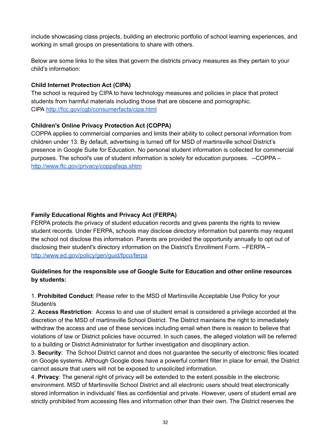include showcasing class projects, building an electronic portfolio of school learning experiences, and working in small groups on presentations to share with others.

Below are some links to the sites that govern the districts privacy measures as they pertain to your child's information:

#### **Child Internet Protection Act (CIPA)**

The school is required by CIPA to have technology measures and policies in place that protect students from harmful materials including those that are obscene and pornographic. CIPA <http://fcc.gov/cgb/consumerfacts/cipa.html>

#### **Children's Online Privacy Protection Act (COPPA)**

COPPA applies to commercial companies and limits their ability to collect personal information from children under 13. By default, advertising is turned off for MSD of martinsville school District's presence in Google Suite for Education. No personal student information is collected for commercial purposes. The school's use of student information is solely for education purposes. --COPPA – <http://www.ftc.gov/privacy/coppafaqs.shtm>

#### **Family Educational Rights and Privacy Act (FERPA)**

FERPA protects the privacy of student education records and gives parents the rights to review student records. Under FERPA, schools may disclose directory information but parents may request the school not disclose this information. Parents are provided the opportunity annually to opt out of disclosing their student's directory information on the District's Enrollment Form. --FERPA – <http://www.ed.gov/policy/gen/guid/fpco/ferpa>

#### **Guidelines for the responsible use of Google Suite for Education and other online resources by students:**

1. **Prohibited Conduct**: Please refer to the MSD of Martinsville Acceptable Use Policy for your Student/s

2. **Access Restriction**: Access to and use of student email is considered a privilege accorded at the discretion of the MSD of martinsville School District. The District maintains the right to immediately withdraw the access and use of these services including email when there is reason to believe that violations of law or District policies have occurred. In such cases, the alleged violation will be referred to a building or District Administrator for further investigation and disciplinary action.

3. **Security**: The School District cannot and does not guarantee the security of electronic files located on Google systems. Although Google does have a powerful content filter in place for email, the District cannot assure that users will not be exposed to unsolicited information.

4. **Privacy**: The general right of privacy will be extended to the extent possible in the electronic environment. MSD of Martinsville School District and all electronic users should treat electronically stored information in individuals' files as confidential and private. However, users of student email are strictly prohibited from accessing files and information other than their own. The District reserves the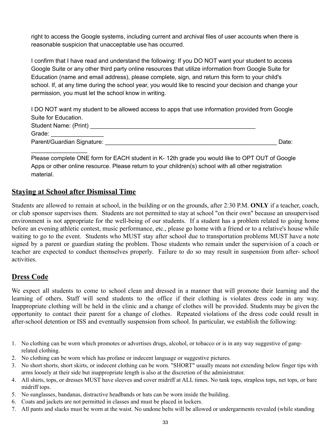right to access the Google systems, including current and archival files of user accounts when there is reasonable suspicion that unacceptable use has occurred.

I confirm that I have read and understand the following: If you DO NOT want your student to access Google Suite or any other third party online resources that utilize information from Google Suite for Education (name and email address), please complete, sign, and return this form to your child's school. If, at any time during the school year, you would like to rescind your decision and change your permission, you must let the school know in writing.

I DO NOT want my student to be allowed access to apps that use information provided from Google Suite for Education. Student Name: (Print) \_\_\_\_\_\_\_\_\_\_\_\_\_\_\_\_\_\_\_\_\_\_\_\_\_\_\_\_\_\_\_\_\_\_\_\_\_\_\_\_\_\_\_\_\_\_\_\_\_\_ Grade: Parent/Guardian Signature: \_\_\_\_\_\_\_\_\_\_\_\_\_\_\_\_\_\_\_\_\_\_\_\_\_\_\_\_\_\_\_\_\_\_\_\_\_\_\_\_\_\_\_\_\_\_\_\_\_\_\_\_ Date:

Please complete ONE form for EACH student in K- 12th grade you would like to OPT OUT of Google Apps or other online resource. Please return to your children(s) school with all other registration material.

#### <span id="page-32-1"></span>**Staying at School after Dismissal Time**

\_\_\_\_\_\_\_\_\_\_\_\_\_\_\_\_\_

Students are allowed to remain at school, in the building or on the grounds, after 2:30 P.M. **ONLY** if a teacher, coach, or club sponsor supervises them. Students are not permitted to stay at school "on their own" because an unsupervised environment is not appropriate for the well-being of our students. If a student has a problem related to going home before an evening athletic contest, music performance, etc., please go home with a friend or to a relative's house while waiting to go to the event. Students who MUST stay after school due to transportation problems MUST have a note signed by a parent or guardian stating the problem. Those students who remain under the supervision of a coach or teacher are expected to conduct themselves properly. Failure to do so may result in suspension from after- school activities.

#### <span id="page-32-0"></span>**Dress Code**

We expect all students to come to school clean and dressed in a manner that will promote their learning and the learning of others. Staff will send students to the office if their clothing is violates dress code in any way. Inappropriate clothing will be held in the clinic and a change of clothes will be provided. Students may be given the opportunity to contact their parent for a change of clothes. Repeated violations of the dress code could result in after-school detention or ISS and eventually suspension from school. In particular, we establish the following:

- 1. No clothing can be worn which promotes or advertises drugs, alcohol, or tobacco or is in any way suggestive of gangrelated clothing.
- 2. No clothing can be worn which has profane or indecent language or suggestive pictures.
- 3. No short shorts, short skirts, or indecent clothing can be worn. "SHORT" usually means not extending below finger tips with arms loosely at their side but inappropriate length is also at the discretion of the administrator.
- 4. All shirts, tops, or dresses MUST have sleeves and cover midriff at ALL times. No tank tops, strapless tops, net tops, or bare midriff tops.
- 5. No sunglasses, bandanas, distractive headbands or hats can be worn inside the building.
- 6. Coats and jackets are not permitted in classes and must be placed in lockers.
- 7. All pants and slacks must be worn at the waist. No undone belts will be allowed or undergarments revealed (while standing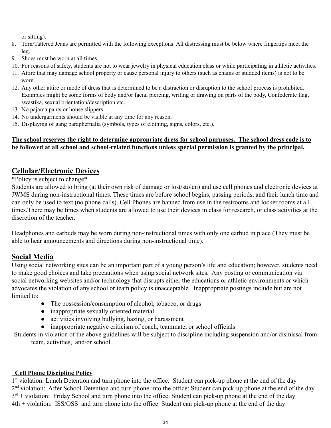or sitting).

- 8. Torn/Tattered Jeans are permitted with the following exceptions: All distressing must be below where fingertips meet the leg.
- 9. Shoes must be worn at all times.
- 10. For reasons of safety, students are not to wear jewelry in physical education class or while participating in athletic activities.
- 11. Attire that may damage school property or cause personal injury to others (such as chains or studded items) is not to be worn.
- 12. Any other attire or mode of dress that is determined to be a distraction or disruption to the school process is prohibited. Examples might be some forms of body and/or facial piercing, writing or drawing on parts of the body, Confederate flag, swastika, sexual orientation/description etc.
- 13. No pajama pants or house slippers.
- 14. No undergarments should be visible at any time for any reason.
- 15. Displaying of gang paraphernalia (symbols, types of clothing, signs, colors, etc.).

#### **The school reserves the right to determine appropriate dress for school purposes. The school dress code is to be followed at all school and school-related functions unless special permission is granted by the principal.**

# <span id="page-33-0"></span>**Cellular/Electronic Devices**

\*Policy is subject to change\*

Students are allowed to bring (at their own risk of damage or lost/stolen) and use cell phones and electronic devices at JWMS during non-instructional times. These times are before school begins, passing periods, and their lunch time and can only be used to text (no phone calls). Cell Phones are banned from use in the restrooms and locker rooms at all times.There may be times when students are allowed to use their devices in class for research, or class activities at the discretion of the teacher.

Headphones and earbuds may be worn during non-instructional times with only one earbud in place (They must be able to hear announcements and directions during non-instructional time).

# **Social Media**

Using social networking sites can be an important part of a young person's life and education; however, students need to make good choices and take precautions when using social network sites. Any posting or communication via social networking websites and/or technology that disrupts either the educations or athletic environments or which advocates the violation of any school or team policy is unacceptable. Inappropriate postings include but are not limited to:

- The possession/consumption of alcohol, tobacco, or drugs
- inappropriate sexually oriented material
- activities involving bullying, hazing, or harassment
- inappropriate negative criticism of coach, teammate, or school officials

Students in violation of the above guidelines will be subject to discipline including suspension and/or dismissal from team, activities, and/or school

#### **Cell Phone Discipline Policy**

1<sup>st</sup> violation: Lunch Detention and turn phone into the office: Student can pick-up phone at the end of the day 2<sup>nd</sup> violation: After School Detention and turn phone into the office: Student can pick-up phone at the end of the day  $3<sup>rd</sup>$  + violation: Friday School and turn phone into the office: Student can pick-up phone at the end of the day 4th + violation: ISS/OSS and turn phone into the office: Student can pick-up phone at the end of the day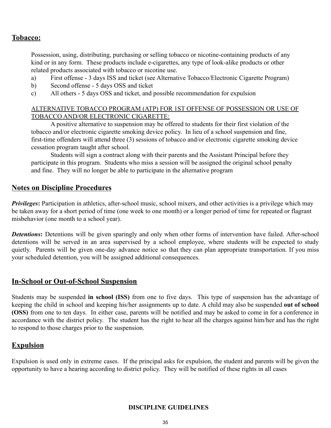### **Tobacco:**

Possession, using, distributing, purchasing or selling tobacco or nicotine-containing products of any kind or in any form. These products include e-cigarettes, any type of look-alike products or other related products associated with tobacco or nicotine use.

- a) First offense 3 days ISS and ticket (see Alternative Tobacco/Electronic Cigarette Program)
- b) Second offense 5 days OSS and ticket
- c) All others 5 days OSS and ticket, and possible recommendation for expulsion

#### ALTERNATIVE TOBACCO PROGRAM (ATP) FOR 1ST OFFENSE OF POSSESSION OR USE OF TOBACCO AND/OR ELECTRONIC CIGARETTE:

A positive alternative to suspension may be offered to students for their first violation of the tobacco and/or electronic cigarette smoking device policy. In lieu of a school suspension and fine, first-time offenders will attend three (3) sessions of tobacco and/or electronic cigarette smoking device cessation program taught after school.

Students will sign a contract along with their parents and the Assistant Principal before they participate in this program. Students who miss a session will be assigned the original school penalty and fine. They will no longer be able to participate in the alternative program

#### **Notes on Discipline Procedures**

*Privileges*: Participation in athletics, after-school music, school mixers, and other activities is a privilege which may be taken away for a short period of time (one week to one month) or a longer period of time for repeated or flagrant misbehavior (one month to a school year).

*Detentions***:** Detentions will be given sparingly and only when other forms of intervention have failed. After-school detentions will be served in an area supervised by a school employee, where students will be expected to study quietly. Parents will be given one-day advance notice so that they can plan appropriate transportation. If you miss your scheduled detention, you will be assigned additional consequences.

#### <span id="page-34-1"></span>**In-School or Out-of-School Suspension**

Students may be suspended **in school (ISS)** from one to five days. This type of suspension has the advantage of keeping the child in school and keeping his/her assignments up to date. A child may also be suspended **out of school (OSS)** from one to ten days. In either case, parents will be notified and may be asked to come in for a conference in accordance with the district policy. The student has the right to hear all the charges against him/her and has the right to respond to those charges prior to the suspension.

# <span id="page-34-2"></span>**Expulsion**

<span id="page-34-0"></span>Expulsion is used only in extreme cases. If the principal asks for expulsion, the student and parents will be given the opportunity to have a hearing according to district policy. They will be notified of these rights in all cases

#### **DISCIPLINE GUIDELINES**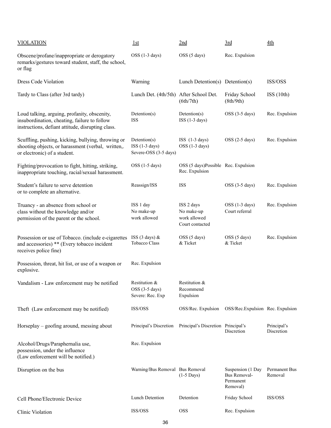| <b>VIOLATION</b>                                                                                                                                  | 1st                                                      | 2nd                                                         | 3rd                                                        | 4th                       |
|---------------------------------------------------------------------------------------------------------------------------------------------------|----------------------------------------------------------|-------------------------------------------------------------|------------------------------------------------------------|---------------------------|
| Obscene/profane/inappropriate or derogatory<br>remarks/gestures toward student, staff, the school,<br>or flag                                     | OSS (1-3 days)                                           | OSS (5 days)                                                | Rec. Expulsion                                             |                           |
| <b>Dress Code Violation</b>                                                                                                                       | Warning                                                  | Lunch Detention(s) Detention(s)                             |                                                            | ISS/OSS                   |
| Tardy to Class (after 3rd tardy)                                                                                                                  | Lunch Det. (4th/5th) After School Det.                   | (6th/7th)                                                   | Friday School<br>(8th/9th)                                 | ISS(10th)                 |
| Loud talking, arguing, profanity, obscenity,<br>insubordination, cheating, failure to follow<br>instructions, defiant attitude, disrupting class. | Detention(s)<br><b>ISS</b>                               | Detention(s)<br>$ISS(1-3 days)$                             | $OSS$ (3-5 days)                                           | Rec. Expulsion            |
| Scuffling, pushing, kicking, bullying, throwing or<br>shooting objects, or harassment (verbal, written,.<br>or electronic) of a student.          | Detention(s)<br>$ISS(1-3 days)$<br>Severe-OSS (3-5 days) | $ISS$ $(1-3 \text{ days})$<br>OSS (1-3 days)                | $OSS(2-5 days)$                                            | Rec. Expulsion            |
| Fighting/provocation to fight, hitting, striking,<br>inappropriate touching, racial/sexual harassment.                                            | OSS (1-5 days)                                           | OSS (5 days)Possible Rec. Expulsion<br>Rec. Expulsion       |                                                            |                           |
| Student's failure to serve detention<br>or to complete an alternative.                                                                            | Reassign/ISS                                             | <b>ISS</b>                                                  | $OSS$ (3-5 days)                                           | Rec. Expulsion            |
| Truancy - an absence from school or<br>class without the knowledge and/or<br>permission of the parent or the school.                              | ISS 1 day<br>No make-up<br>work allowed                  | ISS 2 days<br>No make-up<br>work allowed<br>Court contacted | OSS (1-3 days)<br>Court referral                           | Rec. Expulsion            |
| Possession or use of Tobacco. (include e-cigarettes<br>and accessories) ** (Every tobacco incident<br>receives police fine)                       | ISS (3 days) &<br><b>Tobacco Class</b>                   | OSS (5 days)<br>& Ticket                                    | OSS (5 days)<br>& Ticket                                   | Rec. Expulsion            |
| Possession, threat, hit list, or use of a weapon or<br>explosive.                                                                                 | Rec. Expulsion                                           |                                                             |                                                            |                           |
| Vandalism - Law enforcement may be notified                                                                                                       | Restitution &<br>$OSS$ (3-5 days)<br>Severe: Rec. Exp    | Restitution &<br>Recommend<br>Expulsion                     |                                                            |                           |
| Theft (Law enforcement may be notified)                                                                                                           | ISS/OSS                                                  | OSS/Rec. Expulsion                                          | OSS/Rec. Expulsion Rec. Expulsion                          |                           |
| Horseplay – goofing around, messing about                                                                                                         | Principal's Discretion                                   | Principal's Discretion Principal's                          | Discretion                                                 | Principal's<br>Discretion |
| Alcohol/Drugs/Paraphernalia use,<br>possession, under the influence<br>(Law enforcement will be notified.)                                        | Rec. Expulsion                                           |                                                             |                                                            |                           |
| Disruption on the bus                                                                                                                             | Warning/Bus Removal Bus Removal                          | $(1-5 \text{ Days})$                                        | Suspension (1 Day<br>Bus Removal-<br>Permanent<br>Removal) | Permanent Bus<br>Removal  |
| Cell Phone/Electronic Device                                                                                                                      | <b>Lunch Detention</b>                                   | Detention                                                   | Friday School                                              | ISS/OSS                   |
| Clinic Violation                                                                                                                                  | ISS/OSS                                                  | <b>OSS</b>                                                  | Rec. Expulsion                                             |                           |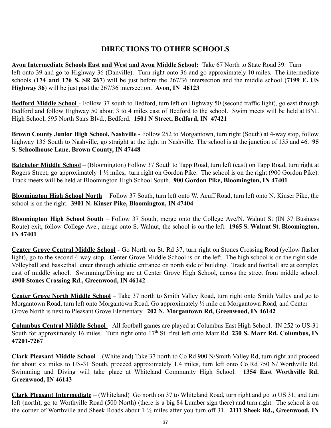# **DIRECTIONS TO OTHER SCHOOLS**

<span id="page-36-0"></span>**Avon Intermediate Schools East and West and Avon Middle School:** Take 67 North to State Road 39. Turn left onto 39 and go to Highway 36 (Danville). Turn right onto 36 and go approximately 10 miles. The intermediate schools (**174 and 176 S. SR 267**) will be just before the 267/36 intersection and the middle school (**7199 E. US Highway 36**) will be just past the 267/36 intersection. **Avon, IN 46123**

**Bedford Middle School** - Follow 37 south to Bedford, turn left on Highway 50 (second traffic light), go east through Bedford and follow Highway 50 about 3 to 4 miles east of Bedford to the school. Swim meets will be held at BNL High School, 595 North Stars Blvd., Bedford. **1501 N Street, Bedford, IN 47421**

**Brown County Junior High School, Nashville** - Follow 252 to Morgantown, turn right (South) at 4-way stop, follow highway 135 South to Nashville, go straight at the light in Nashville. The school is at the junction of 135 and 46. **95 S. Schoolhouse Lane, Brown County, IN 47448**

**Batchelor Middle School** – (Bloomington) Follow 37 South to Tapp Road, turn left (east) on Tapp Road, turn right at Rogers Street, go approximately 1 ½ miles, turn right on Gordon Pike. The school is on the right (900 Gordon Pike). Track meets will be held at Bloomington High School South. **900 Gordon Pike, Bloomington, IN 47401**

**Bloomington High School North** – Follow 37 South, turn left onto W. Acuff Road, turn left onto N. Kinser Pike, the school is on the right. **3901 N. Kinser Pike, Bloomington, IN 47404**

**Bloomington High School South** – Follow 37 South, merge onto the College Ave/N. Walnut St (IN 37 Business Route) exit, follow College Ave., merge onto S. Walnut, the school is on the left. **1965 S. Walnut St. Bloomington, IN 47401**

**Center Grove Central Middle School** - Go North on St. Rd 37, turn right on Stones Crossing Road (yellow flasher light), go to the second 4-way stop. Center Grove Middle School is on the left. The high school is on the right side. Volleyball and basketball enter through athletic entrance on north side of building. Track and football are at complex east of middle school. Swimming/Diving are at Center Grove High School, across the street from middle school. **4900 Stones Crossing Rd., Greenwood, IN 46142**

**Center Grove North Middle School** – Take 37 north to Smith Valley Road, turn right onto Smith Valley and go to Morgantown Road, turn left onto Morgantown Road. Go approximately  $\frac{1}{2}$  mile on Morgantown Road, and Center Grove North is next to Pleasant Grove Elementary. **202 N. Morgantown Rd, Greenwood, IN 46142**

**Columbus Central Middle School** – All football games are played at Columbus East High School. IN 252 to US-31 South for approximately 16 miles. Turn right onto 17th St. first left onto Marr Rd. **230 S. Marr Rd. Columbus, IN 47201-7267**

**Clark Pleasant Middle School** – (Whiteland) Take 37 north to Co Rd 900 N/Smith Valley Rd, turn right and proceed for about six miles to US-31 South, proceed approximately 1.4 miles, turn left onto Co Rd 750 N/ Worthville Rd. Swimming and Diving will take place at Whiteland Community High School. **1354 East Worthville Rd. Greenwood, IN 46143**

**Clark Pleasant Intermediate** – (Whiteland) Go north on 37 to Whiteland Road, turn right and go to US 31, and turn left (north), go to Worthville Road (500 North) (there is a big 84 Lumber sign there) and turn right. The school is on the corner of Worthville and Sheek Roads about 1 ½ miles after you turn off 31. **2111 Sheek Rd., Greenwood, IN**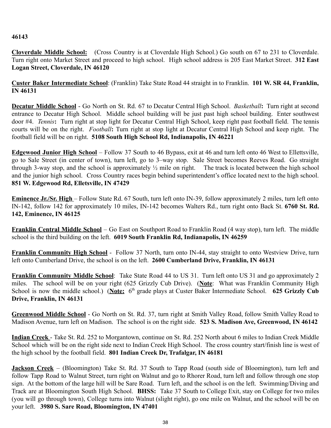#### **46143**

**Cloverdale Middle School:** (Cross Country is at Cloverdale High School.) Go south on 67 to 231 to Cloverdale. Turn right onto Market Street and proceed to high school. High school address is 205 East Market Street. **312 East Logan Street, Cloverdale, IN 46120**

**Custer Baker Intermediate School**: (Franklin) Take State Road 44 straight in to Franklin. **101 W. SR 44, Franklin, IN 46131**

**Decatur Middle School** - Go North on St. Rd. 67 to Decatur Central High School. *Basketball***:** Turn right at second entrance to Decatur High School. Middle school building will be just past high school building. Enter southwest door #4. *Tennis***:** Turn right at stop light for Decatur Central High School, keep right past football field. The tennis courts will be on the right. *Football***:** Turn right at stop light at Decatur Central High School and keep right. The football field will be on right. **5108 South High School Rd, Indianapolis, IN 46221**

**Edgewood Junior High School** – Follow 37 South to 46 Bypass, exit at 46 and turn left onto 46 West to Ellettsville, go to Sale Street (in center of town), turn left, go to 3–way stop. Sale Street becomes Reeves Road. Go straight through 3-way stop, and the school is approximately  $\frac{1}{2}$  mile on right. The track is located between the high school and the junior high school. Cross Country races begin behind superintendent's office located next to the high school. **851 W. Edgewood Rd, Elletsville, IN 47429**

**Eminence Jr./Sr. High** – Follow State Rd. 67 South, turn left onto IN-39, follow approximately 2 miles, turn left onto IN-142, follow 142 for approximately 10 miles, IN-142 becomes Walters Rd., turn right onto Back St. **6760 St. Rd. 142, Eminence, IN 46125**

**Franklin Central Middle School** – Go East on Southport Road to Franklin Road (4 way stop), turn left. The middle school is the third building on the left. **6019 South Franklin Rd, Indianapolis, IN 46259**

**Franklin Community High School** - Follow 37 North, turn onto IN-44, stay straight to onto Westview Drive, turn left onto Cumberland Drive, the school is on the left. **2600 Cumberland Drive, Franklin, IN 46131**

**Franklin Community Middle School**: Take State Road 44 to US 31. Turn left onto US 31 and go approximately 2 miles. The school will be on your right (625 Grizzly Cub Drive). (**Note**: What was Franklin Community High School is now the middle school.) (Note: 6<sup>th</sup> grade plays at Custer Baker Intermediate School. 625 Grizzly Cub **Drive, Franklin, IN 46131**

**Greenwood Middle School** - Go North on St. Rd. 37, turn right at Smith Valley Road, follow Smith Valley Road to Madison Avenue, turn left on Madison. The school is on the right side. **523 S. Madison Ave, Greenwood, IN 46142**

**Indian Creek** - Take St. Rd. 252 to Morgantown, continue on St. Rd. 252 North about 6 miles to Indian Creek Middle School which will be on the right side next to Indian Creek High School. The cross country start/finish line is west of the high school by the football field. **801 Indian Creek Dr, Trafalgar, IN 46181**

**Jackson Creek** – (Bloomington) Take St. Rd. 37 South to Tapp Road (south side of Bloomington), turn left and follow Tapp Road to Walnut Street, turn right on Walnut and go to Rhorer Road, turn left and follow through one stop sign. At the bottom of the large hill will be Sare Road. Turn left, and the school is on the left. Swimming/Diving and Track are at Bloomington South High School. **BHSS:** Take 37 South to College Exit, stay on College for two miles (you will go through town), College turns into Walnut (slight right), go one mile on Walnut, and the school will be on your left. **3980 S. Sare Road, Bloomington, IN 47401**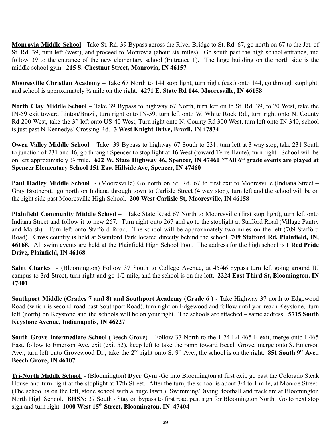**Monrovia Middle School -** Take St. Rd. 39 Bypass across the River Bridge to St. Rd. 67, go north on 67 to the Jct. of St. Rd. 39, turn left (west), and proceed to Monrovia (about six miles). Go south past the high school entrance, and follow 39 to the entrance of the new elementary school (Entrance 1). The large building on the north side is the middle school gym. **215 S. Chestnut Street, Monrovia, IN 46157**

**Mooresville Christian Academy** – Take 67 North to 144 stop light, turn right (east) onto 144, go through stoplight, and school is approximately ½ mile on the right. **4271 E. State Rd 144, Mooresville, IN 46158**

**North Clay Middle School** – Take 39 Bypass to highway 67 North, turn left on to St. Rd. 39, to 70 West, take the IN-59 exit toward Linton/Brazil, turn right onto IN-59, turn left onto W. White Rock Rd., turn right onto N. County Rd 200 West, take the 3<sup>rd</sup> left onto US-40 West, Turn right onto N. County Rd 300 West, turn left onto IN-340, school is just past N Kennedys' Crossing Rd. **3 West Knight Drive, Brazil, IN 47834**

**Owen Valley Middle School** – Take 39 Bypass to highway 67 South to 231, turn left at 3 way stop, take 231 South to junction of 231 and 46, go through Spencer to stop light at 46 West (toward Terre Haute), turn right. School will be on left approximately ½ mile. **622 W. State Highway 46, Spencer, IN 47460 \*\*All 6 th grade events are played at Spencer Elementary School 151 East Hillside Ave, Spencer, IN 47460**

**Paul Hadley Middle School** - (Mooresville) Go north on St. Rd. 67 to first exit to Mooresville (Indiana Street – Gray Brothers), go north on Indiana through town to Carlisle Street (4 way stop), turn left and the school will be on the right side past Mooresville High School. **200 West Carlisle St, Mooresville, IN 46158**

**Plainfield Community Middle School** – Take State Road 67 North to Mooresville (first stop light), turn left onto Indiana Street and follow it to new 267. Turn right onto 267 and go to the stoplight at Stafford Road (Village Pantry and Marsh). Turn left onto Stafford Road. The school will be approximately two miles on the left (709 Stafford Road). Cross country is held at Swinford Park located directly behind the school. **709 Stafford Rd, Plainfield, IN, 46168.** All swim events are held at the Plainfield High School Pool. The address for the high school is **1 Red Pride Drive, Plainfield, IN 46168**.

**Saint Charles** - (Bloomington) Follow 37 South to College Avenue, at 45/46 bypass turn left going around IU campus to 3rd Street, turn right and go 1/2 mile, and the school is on the left. **2224 East Third St, Bloomington, IN 47401**

**Southport Middle (Grades 7 and 8) and Southport Academy (Grade 6 )** - Take Highway 37 north to Edgewood Road (which is second road past Southport Road), turn right on Edgewood and follow until you reach Keystone, turn left (north) on Keystone and the schools will be on your right. The schools are attached – same address: **5715 South Keystone Avenue, Indianapolis, IN 46227**

**South Grove Intermediate School** (Beech Grove) – Follow 37 North to the 1-74 E/I-465 E exit, merge onto I-465 East, follow to Emerson Ave. exit (exit 52), keep left to take the ramp toward Beech Grove, merge onto S. Emerson Ave., turn left onto Grovewood Dr., take the 2<sup>nd</sup> right onto S. 9<sup>th</sup> Ave., the school is on the right. **851 South 9<sup>th</sup> Ave.**, **Beech Grove, IN 46107**

**Tri-North Middle School** - (Bloomington) **Dyer Gym** -Go into Bloomington at first exit, go past the Colorado Steak House and turn right at the stoplight at 17th Street. After the turn, the school is about 3/4 to 1 mile, at Monroe Street. (The school is on the left, stone school with a huge lawn.) Swimming/Diving, football and track are at Bloomington North High School. **BHSN:** 37 South - Stay on bypass to first road past sign for Bloomington North. Go to next stop sign and turn right. **1000 West 15th Street, Bloomington, IN 47404**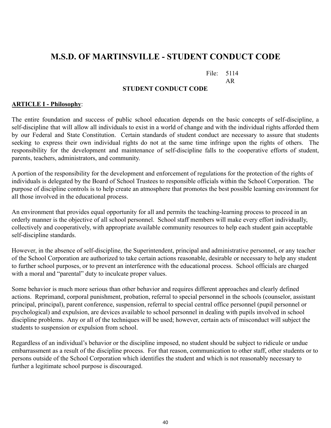# <span id="page-39-0"></span>**M.S.D. OF MARTINSVILLE - STUDENT CONDUCT CODE**

File: 5114

AR

#### **STUDENT CONDUCT CODE**

#### **ARTICLE I - Philosophy**:

The entire foundation and success of public school education depends on the basic concepts of self-discipline, a self-discipline that will allow all individuals to exist in a world of change and with the individual rights afforded them by our Federal and State Constitution. Certain standards of student conduct are necessary to assure that students seeking to express their own individual rights do not at the same time infringe upon the rights of others. The responsibility for the development and maintenance of self-discipline falls to the cooperative efforts of student, parents, teachers, administrators, and community.

A portion of the responsibility for the development and enforcement of regulations for the protection of the rights of individuals is delegated by the Board of School Trustees to responsible officials within the School Corporation. The purpose of discipline controls is to help create an atmosphere that promotes the best possible learning environment for all those involved in the educational process.

An environment that provides equal opportunity for all and permits the teaching-learning process to proceed in an orderly manner is the objective of all school personnel. School staff members will make every effort individually, collectively and cooperatively, with appropriate available community resources to help each student gain acceptable self-discipline standards.

However, in the absence of self-discipline, the Superintendent, principal and administrative personnel, or any teacher of the School Corporation are authorized to take certain actions reasonable, desirable or necessary to help any student to further school purposes, or to prevent an interference with the educational process. School officials are charged with a moral and "parental" duty to inculcate proper values.

Some behavior is much more serious than other behavior and requires different approaches and clearly defined actions. Reprimand, corporal punishment, probation, referral to special personnel in the schools (counselor, assistant principal, principal), parent conference, suspension, referral to special central office personnel (pupil personnel or psychological) and expulsion, are devices available to school personnel in dealing with pupils involved in school discipline problems. Any or all of the techniques will be used; however, certain acts of misconduct will subject the students to suspension or expulsion from school.

Regardless of an individual's behavior or the discipline imposed, no student should be subject to ridicule or undue embarrassment as a result of the discipline process. For that reason, communication to other staff, other students or to persons outside of the School Corporation which identifies the student and which is not reasonably necessary to further a legitimate school purpose is discouraged.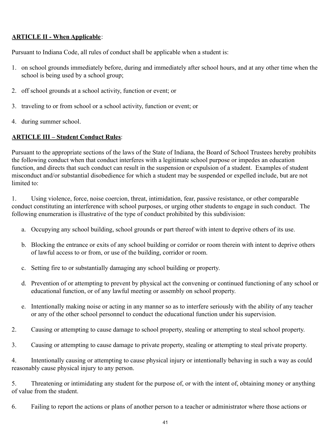### **ARTICLE II - When Applicable**:

Pursuant to Indiana Code, all rules of conduct shall be applicable when a student is:

- 1. on school grounds immediately before, during and immediately after school hours, and at any other time when the school is being used by a school group;
- 2. off school grounds at a school activity, function or event; or
- 3. traveling to or from school or a school activity, function or event; or
- 4. during summer school.

#### **ARTICLE III – Student Conduct Rules**:

Pursuant to the appropriate sections of the laws of the State of Indiana, the Board of School Trustees hereby prohibits the following conduct when that conduct interferes with a legitimate school purpose or impedes an education function, and directs that such conduct can result in the suspension or expulsion of a student. Examples of student misconduct and/or substantial disobedience for which a student may be suspended or expelled include, but are not limited to:

1. Using violence, force, noise coercion, threat, intimidation, fear, passive resistance, or other comparable conduct constituting an interference with school purposes, or urging other students to engage in such conduct. The following enumeration is illustrative of the type of conduct prohibited by this subdivision:

- a. Occupying any school building, school grounds or part thereof with intent to deprive others of its use.
- b. Blocking the entrance or exits of any school building or corridor or room therein with intent to deprive others of lawful access to or from, or use of the building, corridor or room.
- c. Setting fire to or substantially damaging any school building or property.
- d. Prevention of or attempting to prevent by physical act the convening or continued functioning of any school or educational function, or of any lawful meeting or assembly on school property.
- e. Intentionally making noise or acting in any manner so as to interfere seriously with the ability of any teacher or any of the other school personnel to conduct the educational function under his supervision.
- 2. Causing or attempting to cause damage to school property, stealing or attempting to steal school property.
- 3. Causing or attempting to cause damage to private property, stealing or attempting to steal private property.

4. Intentionally causing or attempting to cause physical injury or intentionally behaving in such a way as could reasonably cause physical injury to any person.

5. Threatening or intimidating any student for the purpose of, or with the intent of, obtaining money or anything of value from the student.

6. Failing to report the actions or plans of another person to a teacher or administrator where those actions or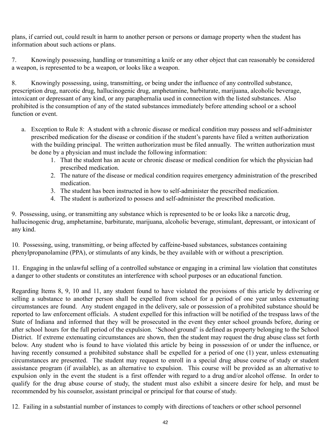plans, if carried out, could result in harm to another person or persons or damage property when the student has information about such actions or plans.

7. Knowingly possessing, handling or transmitting a knife or any other object that can reasonably be considered a weapon, is represented to be a weapon, or looks like a weapon.

8. Knowingly possessing, using, transmitting, or being under the influence of any controlled substance, prescription drug, narcotic drug, hallucinogenic drug, amphetamine, barbiturate, marijuana, alcoholic beverage, intoxicant or depressant of any kind, or any paraphernalia used in connection with the listed substances. Also prohibited is the consumption of any of the stated substances immediately before attending school or a school function or event.

- a. Exception to Rule 8: A student with a chronic disease or medical condition may possess and self-administer prescribed medication for the disease or condition if the student's parents have filed a written authorization with the building principal. The written authorization must be filed annually. The written authorization must be done by a physician and must include the following information:
	- 1. That the student has an acute or chronic disease or medical condition for which the physician had prescribed medication.
	- 2. The nature of the disease or medical condition requires emergency administration of the prescribed medication.
	- 3. The student has been instructed in how to self-administer the prescribed medication.
	- 4. The student is authorized to possess and self-administer the prescribed medication.

9. Possessing, using, or transmitting any substance which is represented to be or looks like a narcotic drug, hallucinogenic drug, amphetamine, barbiturate, marijuana, alcoholic beverage, stimulant, depressant, or intoxicant of any kind.

10. Possessing, using, transmitting, or being affected by caffeine-based substances, substances containing phenylpropanolamine (PPA), or stimulants of any kinds, be they available with or without a prescription.

11. Engaging in the unlawful selling of a controlled substance or engaging in a criminal law violation that constitutes a danger to other students or constitutes an interference with school purposes or an educational function.

Regarding Items 8, 9, 10 and 11, any student found to have violated the provisions of this article by delivering or selling a substance to another person shall be expelled from school for a period of one year unless extenuating circumstances are found. Any student engaged in the delivery, sale or possession of a prohibited substance should be reported to law enforcement officials. A student expelled for this infraction will be notified of the trespass laws of the State of Indiana and informed that they will be prosecuted in the event they enter school grounds before, during or after school hours for the full period of the expulsion. 'School ground' is defined as property belonging to the School District. If extreme extenuating circumstances are shown, then the student may request the drug abuse class set forth below. Any student who is found to have violated this article by being in possession of or under the influence, or having recently consumed a prohibited substance shall be expelled for a period of one (1) year, unless extenuating circumstances are presented. The student may request to enroll in a special drug abuse course of study or student assistance program (if available), as an alternative to expulsion. This course will be provided as an alternative to expulsion only in the event the student is a first offender with regard to a drug and/or alcohol offense. In order to qualify for the drug abuse course of study, the student must also exhibit a sincere desire for help, and must be recommended by his counselor, assistant principal or principal for that course of study.

12. Failing in a substantial number of instances to comply with directions of teachers or other school personnel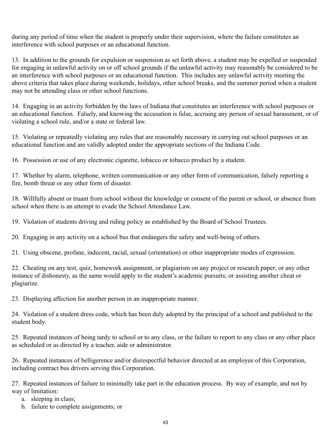during any period of time when the student is properly under their supervision, where the failure constitutes an interference with school purposes or an educational function.

13. In addition to the grounds for expulsion or suspension as set forth above, a student may be expelled or suspended for engaging in unlawful activity on or off school grounds if the unlawful activity may reasonably be considered to be an interference with school purposes or an educational function. This includes any unlawful activity meeting the above criteria that takes place during weekends, holidays, other school breaks, and the summer period when a student may not be attending class or other school functions.

14. Engaging in an activity forbidden by the laws of Indiana that constitutes an interference with school purposes or an educational function. Falsely, and knowing the accusation is false, accruing any person of sexual harassment, or of violating a school rule, and/or a state or federal law.

15. Violating or repeatedly violating any rules that are reasonably necessary in carrying out school purposes or an educational function and are validly adopted under the appropriate sections of the Indiana Code.

16. Possession or use of any electronic cigarette, tobacco or tobacco product by a student.

17. Whether by alarm, telephone, written communication or any other form of communication, falsely reporting a fire, bomb threat or any other form of disaster.

18. Willfully absent or truant from school without the knowledge or consent of the parent or school, or absence from school when there is an attempt to evade the School Attendance Law.

19. Violation of students driving and riding policy as established by the Board of School Trustees.

20. Engaging in any activity on a school bus that endangers the safety and well-being of others.

21. Using obscene, profane, indecent, racial, sexual (orientation) or other inappropriate modes of expression.

22. Cheating on any test, quiz, homework assignment, or plagiarism on any project or research paper; or any other instance of dishonesty, as the same would apply to the student's academic pursuits; or assisting another cheat or plagiarize.

23. Displaying affection for another person in an inappropriate manner.

24. Violation of a student dress code, which has been duly adopted by the principal of a school and published to the student body.

25. Repeated instances of being tardy to school or to any class, or the failure to report to any class or any other place as scheduled or as directed by a teacher, aide or administrator.

26. Repeated instances of belligerence and/or disrespectful behavior directed at an employee of this Corporation, including contract bus drivers serving this Corporation.

27. Repeated instances of failure to minimally take part in the education process. By way of example, and not by way of limitation:

- a. sleeping in class;
- b. failure to complete assignments; or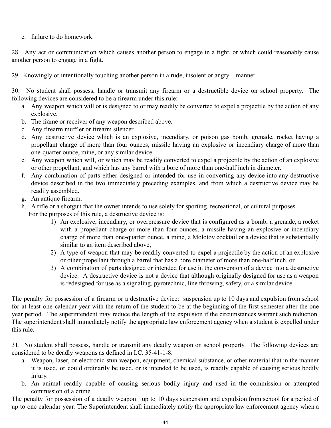c. failure to do homework.

28. Any act or communication which causes another person to engage in a fight, or which could reasonably cause another person to engage in a fight.

29. Knowingly or intentionally touching another person in a rude, insolent or angry manner.

30. No student shall possess, handle or transmit any firearm or a destructible device on school property. The following devices are considered to be a firearm under this rule:

- a. Any weapon which will or is designed to or may readily be converted to expel a projectile by the action of any explosive.
- b. The frame or receiver of any weapon described above.
- c. Any firearm muffler or firearm silencer.
- d. Any destructive device which is an explosive, incendiary, or poison gas bomb, grenade, rocket having a propellant charge of more than four ounces, missile having an explosive or incendiary charge of more than one-quarter ounce, mine, or any similar device.
- e. Any weapon which will, or which may be readily converted to expel a projectile by the action of an explosive or other propellant, and which has any barrel with a bore of more than one-half inch in diameter.
- f. Any combination of parts either designed or intended for use in converting any device into any destructive device described in the two immediately preceding examples, and from which a destructive device may be readily assembled.
- g. An antique firearm.
- h. A rifle or a shotgun that the owner intends to use solely for sporting, recreational, or cultural purposes. For the purposes of this rule, a destructive device is:
	- 1) An explosive, incendiary, or overpressure device that is configured as a bomb, a grenade, a rocket with a propellant charge or more than four ounces, a missile having an explosive or incendiary charge of more than one-quarter ounce, a mine, a Molotov cocktail or a device that is substantially similar to an item described above,
	- 2) A type of weapon that may be readily converted to expel a projectile by the action of an explosive or other propellant through a barrel that has a bore diameter of more than one-half inch, or
	- 3) A combination of parts designed or intended for use in the conversion of a device into a destructive device. A destructive device is not a device that although originally designed for use as a weapon is redesigned for use as a signaling, pyrotechnic, line throwing, safety, or a similar device.

The penalty for possession of a firearm or a destructive device: suspension up to 10 days and expulsion from school for at least one calendar year with the return of the student to be at the beginning of the first semester after the one year period. The superintendent may reduce the length of the expulsion if the circumstances warrant such reduction. The superintendent shall immediately notify the appropriate law enforcement agency when a student is expelled under this rule.

31. No student shall possess, handle or transmit any deadly weapon on school property. The following devices are considered to be deadly weapons as defined in I.C. 35-41-1-8.

- a. Weapon, laser, or electronic stun weapon, equipment, chemical substance, or other material that in the manner it is used, or could ordinarily be used, or is intended to be used, is readily capable of causing serious bodily injury.
- b. An animal readily capable of causing serious bodily injury and used in the commission or attempted commission of a crime.

The penalty for possession of a deadly weapon: up to 10 days suspension and expulsion from school for a period of up to one calendar year. The Superintendent shall immediately notify the appropriate law enforcement agency when a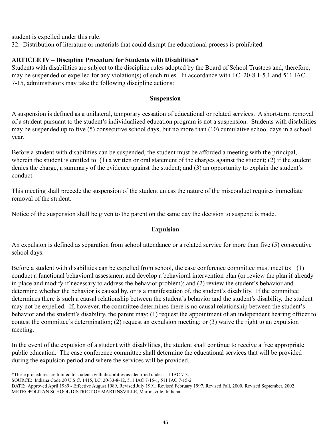student is expelled under this rule.

32. Distribution of literature or materials that could disrupt the educational process is prohibited.

#### **ARTICLE IV – Discipline Procedure for Students with Disabilities\***

Students with disabilities are subject to the discipline rules adopted by the Board of School Trustees and, therefore, may be suspended or expelled for any violation(s) of such rules. In accordance with I.C. 20-8.1-5.1 and 511 IAC 7-15, administrators may take the following discipline actions:

#### **Suspension**

A suspension is defined as a unilateral, temporary cessation of educational or related services. A short-term removal of a student pursuant to the student's individualized education program is not a suspension. Students with disabilities may be suspended up to five (5) consecutive school days, but no more than (10) cumulative school days in a school year.

Before a student with disabilities can be suspended, the student must be afforded a meeting with the principal, wherein the student is entitled to: (1) a written or oral statement of the charges against the student; (2) if the student denies the charge, a summary of the evidence against the student; and (3) an opportunity to explain the student's conduct.

This meeting shall precede the suspension of the student unless the nature of the misconduct requires immediate removal of the student.

Notice of the suspension shall be given to the parent on the same day the decision to suspend is made.

#### **Expulsion**

An expulsion is defined as separation from school attendance or a related service for more than five (5) consecutive school days.

Before a student with disabilities can be expelled from school, the case conference committee must meet to: (1) conduct a functional behavioral assessment and develop a behavioral intervention plan (or review the plan if already in place and modify if necessary to address the behavior problem); and (2) review the student's behavior and determine whether the behavior is caused by, or is a manifestation of, the student's disability. If the committee determines there is such a causal relationship between the student's behavior and the student's disability, the student may not be expelled. If, however, the committee determines there is no causal relationship between the student's behavior and the student's disability, the parent may: (1) request the appointment of an independent hearing officer to contest the committee's determination; (2) request an expulsion meeting; or (3) waive the right to an expulsion meeting.

In the event of the expulsion of a student with disabilities, the student shall continue to receive a free appropriate public education. The case conference committee shall determine the educational services that will be provided during the expulsion period and where the services will be provided.

\*These procedures are limited to students with disabilities as identified under 511 IAC 7-3.

SOURCE: Indiana Code 20 U.S.C. 1415, I.C. 20-33-8-12, 511 IAC 7-15-1, 511 IAC 7-15-2

DATE: Approved April 1989 - Effective August 1989, Revised July 1991, Revised February 1997, Revised Fall, 2000, Revised September, 2002 METROPOLITAN SCHOOL DISTRICT OF MARTINSVILLE, Martinsville, Indiana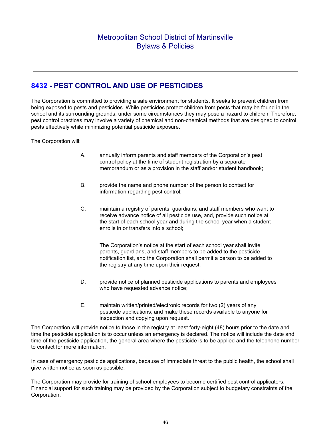# <span id="page-45-0"></span>**[8432](http://www.neola.com/martinsville-in/search/ag/ag8432.htm) - PEST CONTROL AND USE OF PESTICIDES**

The Corporation is committed to providing a safe environment for students. It seeks to prevent children from being exposed to pests and pesticides. While pesticides protect children from pests that may be found in the school and its surrounding grounds, under some circumstances they may pose a hazard to children. Therefore, pest control practices may involve a variety of chemical and non-chemical methods that are designed to control pests effectively while minimizing potential pesticide exposure.

The Corporation will:

- A. annually inform parents and staff members of the Corporation's pest control policy at the time of student registration by a separate memorandum or as a provision in the staff and/or student handbook;
- B. provide the name and phone number of the person to contact for information regarding pest control;
- C. maintain a registry of parents, guardians, and staff members who want to receive advance notice of all pesticide use, and, provide such notice at the start of each school year and during the school year when a student enrolls in or transfers into a school;

The Corporation's notice at the start of each school year shall invite parents, guardians, and staff members to be added to the pesticide notification list, and the Corporation shall permit a person to be added to the registry at any time upon their request.

- D. provide notice of planned pesticide applications to parents and employees who have requested advance notice;
- E. maintain written/printed/electronic records for two (2) years of any pesticide applications, and make these records available to anyone for inspection and copying upon request.

The Corporation will provide notice to those in the registry at least forty-eight (48) hours prior to the date and time the pesticide application is to occur unless an emergency is declared. The notice will include the date and time of the pesticide application, the general area where the pesticide is to be applied and the telephone number to contact for more information.

In case of emergency pesticide applications, because of immediate threat to the public health, the school shall give written notice as soon as possible.

The Corporation may provide for training of school employees to become certified pest control applicators. Financial support for such training may be provided by the Corporation subject to budgetary constraints of the Corporation.